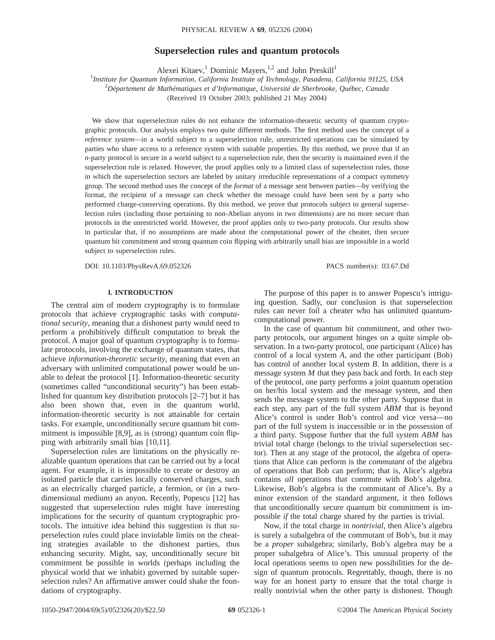# **Superselection rules and quantum protocols**

Alexei Kitaev,<sup>1</sup> Dominic Mayers,<sup>1,2</sup> and John Preskill<sup>1</sup>

1 *Institute for Quantum Information, California Institute of Technology, Pasadena, California 91125, USA* 2 *Département de Mathématiques et d'Informatique, Université de Sherbrooke, Québec, Canada* (Received 19 October 2003; published 21 May 2004)

We show that superselection rules do not enhance the information-theoretic security of quantum cryptographic protocols. Our analysis employs two quite different methods. The first method uses the concept of a *reference system*—in a world subject to a superselection rule, unrestricted operations can be simulated by parties who share access to a reference system with suitable properties. By this method, we prove that if an *n*-party protocol is secure in a world subject to a superselection rule, then the security is maintained even if the superselection rule is relaxed. However, the proof applies only to a limited class of superselection rules, those in which the superselection sectors are labeled by unitary irreducible representations of a compact symmetry group. The second method uses the concept of the *format* of a message sent between parties—by verifying the format, the recipient of a message can check whether the message could have been sent by a party who performed charge-conserving operations. By this method, we prove that protocols subject to general superselection rules (including those pertaining to non-Abelian anyons in two dimensions) are no more secure than protocols in the unrestricted world. However, the proof applies only to two-party protocols. Our results show in particular that, if no assumptions are made about the computational power of the cheater, then secure quantum bit commitment and strong quantum coin flipping with arbitrarily small bias are impossible in a world subject to superselection rules.

DOI: 10.1103/PhysRevA.69.052326 PACS number(s): 03.67.Dd

# **I. INTRODUCTION**

The central aim of modern cryptography is to formulate protocols that achieve cryptographic tasks with *computational security*, meaning that a dishonest party would need to perform a prohibitively difficult computation to break the protocol. A major goal of quantum cryptography is to formulate protocols, involving the exchange of quantum states, that achieve *information-theoretic security*, meaning that even an adversary with unlimited computational power would be unable to defeat the protocol [1]. Information-theoretic security (sometimes called "unconditional security") has been established for quantum key distribution protocols [2–7] but it has also been shown that, even in the quantum world, information-theoretic security is not attainable for certain tasks. For example, unconditionally secure quantum bit commitment is impossible [8,9], as is (strong) quantum coin flipping with arbitrarily small bias [10,11].

Superselection rules are limitations on the physically realizable quantum operations that can be carried out by a local agent. For example, it is impossible to create or destroy an isolated particle that carries locally conserved charges, such as an electrically charged particle, a fermion, or (in a twodimensional medium) an anyon. Recently, Popescu [12] has suggested that superselection rules might have interesting implications for the security of quantum cryptographic protocols. The intuitive idea behind this suggestion is that superselection rules could place inviolable limits on the cheating strategies available to the dishonest parties, thus enhancing security. Might, say, unconditionally secure bit commitment be possible in worlds (perhaps including the physical world that we inhabit) governed by suitable superselection rules? An affirmative answer could shake the foundations of cryptography.

The purpose of this paper is to answer Popescu's intriguing question. Sadly, our conclusion is that superselection rules can never foil a cheater who has unlimited quantumcomputational power.

In the case of quantum bit commitment, and other twoparty protocols, our argument hinges on a quite simple observation. In a two-party protocol, one participant (Alice) has control of a local system *A*, and the other participant (Bob) has control of another local system *B*. In addition, there is a message system *M* that they pass back and forth. In each step of the protocol, one party performs a joint quantum operation on her/his local system and the message system, and then sends the message system to the other party. Suppose that in each step, any part of the full system *ABM* that is beyond Alice's control is under Bob's control and vice versa—no part of the full system is inaccessible or in the possession of a third party. Suppose further that the full system *ABM* has trivial total charge (belongs to the trivial superselection sector). Then at any stage of the protocol, the algebra of operations that Alice can perform is the *commutant* of the algebra of operations that Bob can perform; that is, Alice's algebra contains *all* operations that commute with Bob's algebra. Likewise, Bob's algebra is the commutant of Alice's. By a minor extension of the standard argument, it then follows that unconditionally secure quantum bit commitment is impossible *if* the total charge shared by the parties is trivial.

Now, if the total charge in *nontrivial*, then Alice's algebra is surely a subalgebra of the commutant of Bob's, but it may be a *proper* subalgebra; similarly, Bob's algebra may be a proper subalgebra of Alice's. This unusual property of the local operations seems to open new possibilities for the design of quantum protocols. Regrettably, though, there is no way for an honest party to ensure that the total charge is really nontrivial when the other party is dishonest. Though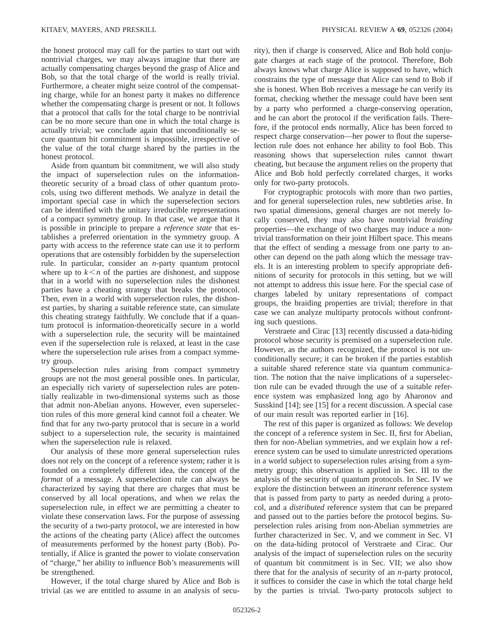the honest protocol may call for the parties to start out with nontrivial charges, we may always imagine that there are actually compensating charges beyond the grasp of Alice and Bob, so that the total charge of the world is really trivial. Furthermore, a cheater might seize control of the compensating charge, while for an honest party it makes no difference whether the compensating charge is present or not. It follows that a protocol that calls for the total charge to be nontrivial can be no more secure than one in which the total charge is actually trivial; we conclude again that unconditionally secure quantum bit commitment is impossible, irrespective of the value of the total charge shared by the parties in the honest protocol.

Aside from quantum bit commitment, we will also study the impact of superselection rules on the informationtheoretic security of a broad class of other quantum protocols, using two different methods. We analyze in detail the important special case in which the superselection sectors can be identified with the unitary irreducible representations of a compact symmetry group. In that case, we argue that it is possible in principle to prepare a *reference state* that establishes a preferred orientation in the symmetry group. A party with access to the reference state can use it to perform operations that are ostensibly forbidden by the superselection rule. In particular, consider an *n*-party quantum protocol where up to  $k \leq n$  of the parties are dishonest, and suppose that in a world with no superselection rules the dishonest parties have a cheating strategy that breaks the protocol. Then, even in a world with superselection rules, the dishonest parties, by sharing a suitable reference state, can simulate this cheating strategy faithfully. We conclude that if a quantum protocol is information-theoretically secure in a world with a superselection rule, the security will be maintained even if the superselection rule is relaxed, at least in the case where the superselection rule arises from a compact symmetry group.

Superselection rules arising from compact symmetry groups are not the most general possible ones. In particular, an especially rich variety of superselection rules are potentially realizable in two-dimensional systems such as those that admit non-Abelian anyons. However, even superselection rules of this more general kind cannot foil a cheater. We find that for any two-party protocol that is secure in a world subject to a superselection rule, the security is maintained when the superselection rule is relaxed.

Our analysis of these more general superselection rules does not rely on the concept of a reference system; rather it is founded on a completely different idea, the concept of the *format* of a message. A superselection rule can always be characterized by saying that there are charges that must be conserved by all local operations, and when we relax the superselection rule, in effect we are permitting a cheater to violate these conservation laws. For the purpose of assessing the security of a two-party protocol, we are interested in how the actions of the cheating party (Alice) affect the outcomes of measurements performed by the honest party (Bob). Potentially, if Alice is granted the power to violate conservation of "charge," her ability to influence Bob's measurements will be strengthened.

However, if the total charge shared by Alice and Bob is trivial (as we are entitled to assume in an analysis of security), then if charge is conserved, Alice and Bob hold conjugate charges at each stage of the protocol. Therefore, Bob always knows what charge Alice is supposed to have, which constrains the type of message that Alice can send to Bob if she is honest. When Bob receives a message he can verify its format, checking whether the message could have been sent by a party who performed a charge-conserving operation, and he can abort the protocol if the verification fails. Therefore, if the protocol ends normally, Alice has been forced to respect charge conservation—her power to flout the superselection rule does not enhance her ability to fool Bob. This reasoning shows that superselection rules cannot thwart cheating, but because the argument relies on the property that Alice and Bob hold perfectly correlated charges, it works only for two-party protocols.

For cryptographic protocols with more than two parties, and for general superselection rules, new subtleties arise. In two spatial dimensions, general charges are not merely locally conserved, they may also have nontrivial *braiding* properties—the exchange of two charges may induce a nontrivial transformation on their joint Hilbert space. This means that the effect of sending a message from one party to another can depend on the path along which the message travels. It is an interesting problem to specify appropriate definitions of security for protocols in this setting, but we will not attempt to address this issue here. For the special case of charges labeled by unitary representations of compact groups, the braiding properties are trivial; therefore in that case we can analyze multiparty protocols without confronting such questions.

Verstraete and Cirac [13] recently discussed a data-hiding protocol whose security is premised on a superselection rule. However, as the authors recognized, the protocol is not unconditionally secure; it can be broken if the parties establish a suitable shared reference state via quantum communication. The notion that the naive implications of a superselection rule can be evaded through the use of a suitable reference system was emphasized long ago by Aharonov and Susskind [14]; see [15] for a recent discussion. A special case of our main result was reported earlier in [16].

The rest of this paper is organized as follows: We develop the concept of a reference system in Sec. II, first for Abelian, then for non-Abelian symmetries, and we explain how a reference system can be used to simulate unrestricted operations in a world subject to superselection rules arising from a symmetry group; this observation is applied in Sec. III to the analysis of the security of quantum protocols. In Sec. IV we explore the distinction between an *itinerant* reference system that is passed from party to party as needed during a protocol, and a *distributed* reference system that can be prepared and passed out to the parties before the protocol begins. Superselection rules arising from non-Abelian symmetries are further characterized in Sec. V, and we comment in Sec. VI on the data-hiding protocol of Verstraete and Cirac. Our analysis of the impact of superselection rules on the security of quantum bit commitment is in Sec. VII; we also show there that for the analysis of security of an *n*-party protocol, it suffices to consider the case in which the total charge held by the parties is trivial. Two-party protocols subject to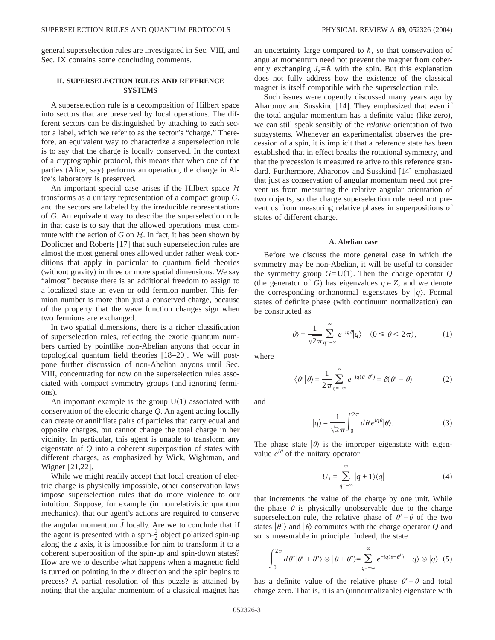general superselection rules are investigated in Sec. VIII, and Sec. IX contains some concluding comments.

# **II. SUPERSELECTION RULES AND REFERENCE SYSTEMS**

A superselection rule is a decomposition of Hilbert space into sectors that are preserved by local operations. The different sectors can be distinguished by attaching to each sector a label, which we refer to as the sector's "charge." Therefore, an equivalent way to characterize a superselection rule is to say that the charge is locally conserved. In the context of a cryptographic protocol, this means that when one of the parties (Alice, say) performs an operation, the charge in Alice's laboratory is preserved.

An important special case arises if the Hilbert space  $H$ transforms as a unitary representation of a compact group *G*, and the sectors are labeled by the irreducible representations of *G*. An equivalent way to describe the superselection rule in that case is to say that the allowed operations must commute with the action of  $G$  on  $H$ . In fact, it has been shown by Doplicher and Roberts [17] that such superselection rules are almost the most general ones allowed under rather weak conditions that apply in particular to quantum field theories (without gravity) in three or more spatial dimensions. We say "almost" because there is an additional freedom to assign to a localized state an even or odd fermion number. This fermion number is more than just a conserved charge, because of the property that the wave function changes sign when two fermions are exchanged.

In two spatial dimensions, there is a richer classification of superselection rules, reflecting the exotic quantum numbers carried by pointlike non-Abelian anyons that occur in topological quantum field theories [18–20]. We will postpone further discussion of non-Abelian anyons until Sec. VIII, concentrating for now on the superselection rules associated with compact symmetry groups (and ignoring fermions).

An important example is the group  $U(1)$  associated with conservation of the electric charge *Q*. An agent acting locally can create or annihilate pairs of particles that carry equal and opposite charges, but cannot change the total charge in her vicinity. In particular, this agent is unable to transform any eigenstate of *Q* into a coherent superposition of states with different charges, as emphasized by Wick, Wightman, and Wigner [21,22].

While we might readily accept that local creation of electric charge is physically impossible, other conservation laws impose superselection rules that do more violence to our intuition. Suppose, for example (in nonrelativistic quantum mechanics), that our agent's actions are required to conserve the angular momentum *J* locally. Are we to conclude that if  $\rightarrow$ the agent is presented with a spin- $\frac{1}{2}$  object polarized spin-up along the *z* axis, it is impossible for him to transform it to a coherent superposition of the spin-up and spin-down states? How are we to describe what happens when a magnetic field is turned on pointing in the *x* direction and the spin begins to precess? A partial resolution of this puzzle is attained by noting that the angular momentum of a classical magnet has an uncertainty large compared to  $\hbar$ , so that conservation of angular momentum need not prevent the magnet from coherently exchanging  $J_z = \hbar$  with the spin. But this explanation does not fully address how the existence of the classical magnet is itself compatible with the superselection rule.

Such issues were cogently discussed many years ago by Aharonov and Susskind [14]. They emphasized that even if the total angular momentum has a definite value (like zero), we can still speak sensibly of the *relative* orientation of two subsystems. Whenever an experimentalist observes the precession of a spin, it is implicit that a reference state has been established that in effect breaks the rotational symmetry, and that the precession is measured relative to this reference standard. Furthermore, Aharonov and Susskind [14] emphasized that just as conservation of angular momentum need not prevent us from measuring the relative angular orientation of two objects, so the charge superselection rule need not prevent us from measuring relative phases in superpositions of states of different charge.

#### **A. Abelian case**

Before we discuss the more general case in which the symmetry may be non-Abelian, it will be useful to consider the symmetry group  $G=U(1)$ . Then the charge operator Q (the generator of *G*) has eigenvalues  $q \in Z$ , and we denote the corresponding orthonormal eigenstates by  $|q\rangle$ . Formal states of definite phase (with continuum normalization) can be constructed as

$$
|\theta\rangle = \frac{1}{\sqrt{2\pi}} \sum_{q=-\infty}^{\infty} e^{-iq\theta} |q\rangle \quad (0 \le \theta < 2\pi), \tag{1}
$$

where

$$
\langle \theta' | \theta \rangle = \frac{1}{2\pi} \sum_{q=-\infty}^{\infty} e^{-iq(\theta - \theta')} = \delta(\theta' - \theta)
$$
 (2)

and

$$
|q\rangle = \frac{1}{\sqrt{2\pi}} \int_0^{2\pi} d\theta \, e^{iq\theta} |\theta\rangle.
$$
 (3)

The phase state  $|\theta\rangle$  is the improper eigenstate with eigenvalue  $e^{i\theta}$  of the unitary operator

$$
U_{+} = \sum_{q=-\infty}^{\infty} |q+1\rangle\langle q| \tag{4}
$$

that increments the value of the charge by one unit. While the phase  $\theta$  is physically unobservable due to the charge superselection rule, the relative phase of  $\theta' - \theta$  of the two states  $|\theta'\rangle$  and  $|\theta\rangle$  commutes with the charge operator *Q* and so is measurable in principle. Indeed, the state

$$
\int_0^{2\pi} d\theta'' |\theta' + \theta''\rangle \otimes |\theta + \theta''\rangle = \sum_{q=-\infty}^{\infty} e^{-iq(\theta - \theta')} |-q\rangle \otimes |q\rangle
$$
 (5)

has a definite value of the relative phase  $\theta' - \theta$  and total charge zero. That is, it is an (unnormalizable) eigenstate with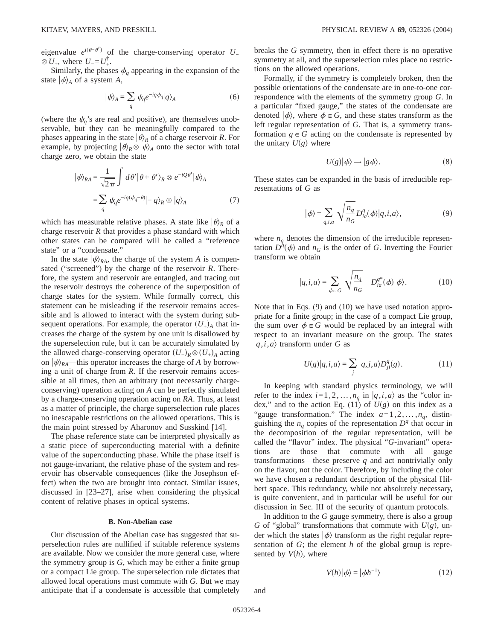eigenvalue  $e^{i(\theta-\theta')}$  of the charge-conserving operator *U*<sub>−</sub>  $\otimes U_+$ , where  $U_- = U_+^{\dagger}$ .

Similarly, the phases  $\phi_q$  appearing in the expansion of the state  $|\psi\rangle_A$  of a system A,

$$
|\psi\rangle_A = \sum_q \psi_q e^{-iq\phi_q} |q\rangle_A \tag{6}
$$

(where the  $\psi_q$ 's are real and positive), are themselves unobservable, but they can be meaningfully compared to the phases appearing in the state  $|\theta\rangle_R$  of a charge reservoir *R*. For example, by projecting  $|\theta\rangle_R \otimes |\psi\rangle_A$  onto the sector with total charge zero, we obtain the state

$$
|\psi\rangle_{RA} = \frac{1}{\sqrt{2\pi}} \int d\theta' |\theta + \theta'\rangle_R \otimes e^{-iQ\theta'} |\psi\rangle_A
$$
  
= 
$$
\sum_q \psi_q e^{-iq(\phi_q - \theta)} - q\rangle_R \otimes |q\rangle_A
$$
 (7)

which has measurable relative phases. A state like  $|\theta\rangle_R$  of a charge reservoir  $R$  that provides a phase standard with which other states can be compared will be called a "reference state" or a "condensate."

In the state  $|\psi\rangle_{RA}$ , the charge of the system *A* is compensated ("screened") by the charge of the reservoir *R*. Therefore, the system and reservoir are entangled, and tracing out the reservoir destroys the coherence of the superposition of charge states for the system. While formally correct, this statement can be misleading if the reservoir remains accessible and is allowed to interact with the system during subsequent operations. For example, the operator  $(U_+)_A$  that increases the charge of the system by one unit is disallowed by the superselection rule, but it can be accurately simulated by the allowed charge-conserving operator  $(U_-\)_{R} \otimes (U_+)_{A}$  acting on  $|\psi\rangle_{RA}$ —this operator increases the charge of *A* by borrowing a unit of charge from *R*. If the reservoir remains accessible at all times, then an arbitrary (not necessarily chargeconserving) operation acting on *A* can be perfectly simulated by a charge-conserving operation acting on *RA*. Thus, at least as a matter of principle, the charge superselection rule places no inescapable restrictions on the allowed operations. This is the main point stressed by Aharonov and Susskind [14].

The phase reference state can be interpreted physically as a static piece of superconducting material with a definite value of the superconducting phase. While the phase itself is not gauge-invariant, the relative phase of the system and reservoir has observable consequences (like the Josephson effect) when the two are brought into contact. Similar issues, discussed in [23–27], arise when considering the physical content of relative phases in optical systems.

#### **B. Non-Abelian case**

Our discussion of the Abelian case has suggested that superselection rules are nullified if suitable reference systems are available. Now we consider the more general case, where the symmetry group is *G*, which may be either a finite group or a compact Lie group. The superselection rule dictates that allowed local operations must commute with *G*. But we may anticipate that if a condensate is accessible that completely breaks the *G* symmetry, then in effect there is no operative symmetry at all, and the superselection rules place no restrictions on the allowed operations.

Formally, if the symmetry is completely broken, then the possible orientations of the condensate are in one-to-one correspondence with the elements of the symmetry group *G*. In a particular "fixed gauge," the states of the condensate are denoted  $|\phi\rangle$ , where  $\phi \in G$ , and these states transform as the left regular representation of *G*. That is, a symmetry transformation  $g \in G$  acting on the condensate is represented by the unitary  $U(g)$  where

$$
U(g)|\phi\rangle \to |g\phi\rangle. \tag{8}
$$

These states can be expanded in the basis of irreducible representations of *G* as

$$
|\phi\rangle = \sum_{q,i,a} \sqrt{\frac{n_q}{n_G}} D_{ia}^q(\phi) |q,i,a\rangle, \qquad (9)
$$

where  $n_q$  denotes the dimension of the irreducible representation  $D^{\dot{q}}(\phi)$  and  $n_G$  is the order of *G*. Inverting the Fourier transform we obtain

$$
|q,i,a\rangle = \sum_{\phi \in G} \sqrt{\frac{n_q}{n_G}} D_{ia}^{q^*}(\phi) | \phi \rangle.
$$
 (10)

Note that in Eqs. (9) and (10) we have used notation appropriate for a finite group; in the case of a compact Lie group, the sum over  $\phi \in G$  would be replaced by an integral with respect to an invariant measure on the group. The states  $|q, i, a\rangle$  transform under *G* as

$$
U(g)|q,i,a\rangle = \sum_{j} |q,j,a\rangle D_{ji}^{q}(g). \tag{11}
$$

In keeping with standard physics terminology, we will refer to the index  $i=1,2,\ldots,n_q$  in  $|q,i,a\rangle$  as the "color index," and to the action Eq. (11) of  $U(g)$  on this index as a "gauge transformation." The index  $a=1,2,\ldots,n_q$ , distinguishing the  $n_q$  copies of the representation  $D<sup>q</sup>$  that occur in the decomposition of the regular representation, will be called the "flavor" index. The physical "*G*-invariant" operations are those that commute with all gauge transformations—these preserve *q* and act nontrivially only on the flavor, not the color. Therefore, by including the color we have chosen a redundant description of the physical Hilbert space. This redundancy, while not absolutely necessary, is quite convenient, and in particular will be useful for our discussion in Sec. III of the security of quantum protocols.

In addition to the *G* gauge symmetry, there is also a group *G* of "global" transformations that commute with  $U(g)$ , under which the states  $|\phi\rangle$  transform as the right regular representation of *G*; the element *h* of the global group is represented by  $V(h)$ , where

$$
V(h)|\phi\rangle = |\phi h^{-1}\rangle \tag{12}
$$

and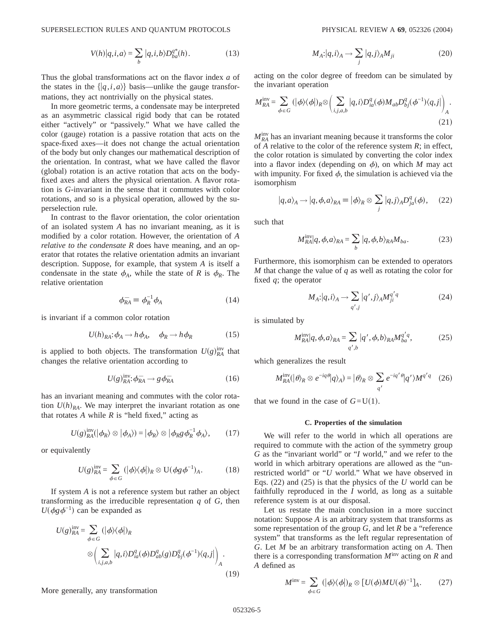$$
V(h)|q,i,a\rangle = \sum_{b} |q,i,b\rangle D_{ba}^{q^*}(h). \tag{13}
$$

Thus the global transformations act on the flavor index *a* of the states in the  $\{q, i, a\}$  basis—unlike the gauge transformations, they act nontrivially on the physical states.

In more geometric terms, a condensate may be interpreted as an asymmetric classical rigid body that can be rotated either "actively" or "passively." What we have called the color (gauge) rotation is a passive rotation that acts on the space-fixed axes—it does not change the actual orientation of the body but only changes our mathematical description of the orientation. In contrast, what we have called the flavor (global) rotation is an active rotation that acts on the bodyfixed axes and alters the physical orientation. A flavor rotation is *G*-invariant in the sense that it commutes with color rotations, and so is a physical operation, allowed by the superselection rule.

In contrast to the flavor orientation, the color orientation of an isolated system *A* has no invariant meaning, as it is modified by a color rotation. However, the orientation of *A relative to the condensate R* does have meaning, and an operator that rotates the relative orientation admits an invariant description. Suppose, for example, that system *A* is itself a condensate in the state  $\phi_A$ , while the state of *R* is  $\phi_R$ . The relative orientation

$$
\phi_{RA}^- \equiv \phi_R^{-1} \phi_A \tag{14}
$$

is invariant if a common color rotation

$$
U(h)_{RA} : \phi_A \to h\phi_A, \quad \phi_R \to h\phi_R \tag{15}
$$

is applied to both objects. The transformation  $U(g)_{RA}^{\text{inv}}$  that changes the relative orientation according to

$$
U(g)_{RA}^{\text{inv}}: \phi_{RA}^- \to g \phi_{RA}^- \tag{16}
$$

has an invariant meaning and commutes with the color rotation  $U(h)_{RA}$ . We may interpret the invariant rotation as one that rotates  $A$  while  $R$  is "held fixed," acting as

$$
U(g)_{RA}^{\text{inv}}(|\phi_R\rangle \otimes |\phi_A\rangle) = |\phi_R\rangle \otimes |\phi_R g \phi_R^{-1} \phi_A\rangle, \qquad (17)
$$

or equivalently

$$
U(g)_{RA}^{\text{inv}} = \sum_{\phi \in G} (|\phi\rangle\langle\phi|)_R \otimes U(\phi g \phi^{-1})_A. \tag{18}
$$

If system *A* is not a reference system but rather an object transforming as the irreducible representation *q* of *G*, then *U*( $\phi g \phi^{-1}$ ) can be expanded as

$$
U(g)_{RA}^{\text{inv}} = \sum_{\phi \in G} (|\phi\rangle\langle\phi|)_R
$$
  

$$
\otimes \left(\sum_{i,j,a,b} |q,i\rangle D_{ia}^q(\phi)D_{ab}^q(g)D_{bj}^q(\phi^{-1})\langle q,j| \right)_A.
$$
  
(19)

More generally, any transformation

$$
M_A: |q,i\rangle_A \to \sum_j |q,j\rangle_A M_{ji} \tag{20}
$$

acting on the color degree of freedom can be simulated by the invariant operation

$$
M_{RA}^{\text{inv}} = \sum_{\phi \in G} (|\phi\rangle\langle\phi|)_{R} \otimes \left(\sum_{i,j,a,b} |q,i\rangle D_{ia}^{q}(\phi) M_{ab} D_{bj}^{q}(\phi^{-1})\langle q,j| \right)_{A}.
$$
\n(21)

 $M_{RA}^{\text{inv}}$  has an invariant meaning because it transforms the color of *A* relative to the color of the reference system *R*; in effect, the color rotation is simulated by converting the color index into a flavor index (depending on  $\phi$ ), on which *M* may act with impunity. For fixed  $\phi$ , the simulation is achieved via the isomorphism

$$
|q,a\rangle_A \to |q,\phi,a\rangle_{RA} \equiv |\phi\rangle_R \otimes \sum_j |q,j\rangle_A D^q_{ja}(\phi), \quad (22)
$$

such that

$$
M_{RA}^{\text{inv}}|q,\phi,a\rangle_{RA} = \sum_{b} |q,\phi,b\rangle_{RA} M_{ba}.\tag{23}
$$

Furthermore, this isomorphism can be extended to operators *M* that change the value of *q* as well as rotating the color for fixed *q*; the operator

$$
M_A: |q,i\rangle_A \to \sum_{q',j} |q',j\rangle_A M_{ji}^{q'q} \tag{24}
$$

is simulated by

$$
M_{RA}^{\text{inv}}|q,\phi,a\rangle_{RA} = \sum_{q',b} |q',\phi,b\rangle_{RA} M_{ba}^{q'q},\tag{25}
$$

which generalizes the result

$$
M_{RA}^{\rm inv}(|\theta\rangle_R \otimes e^{-iq\theta}|q\rangle_A) = |\theta\rangle_R \otimes \sum_{q'} e^{-iq'\theta}|q'\rangle M^{q'q} \quad (26)
$$

that we found in the case of  $G=U(1)$ .

## **C. Properties of the simulation**

We will refer to the world in which all operations are required to commute with the action of the symmetry group *G* as the "invariant world" or "*I* world," and we refer to the world in which arbitrary operations are allowed as the "unrestricted world" or "*U* world." What we have observed in Eqs. (22) and (25) is that the physics of the *U* world can be faithfully reproduced in the *I* world, as long as a suitable reference system is at our disposal.

Let us restate the main conclusion in a more succinct notation: Suppose *A* is an arbitrary system that transforms as some representation of the group *G*, and let *R* be a "reference system" that transforms as the left regular representation of *G*. Let *M* be an arbitrary transformation acting on *A*. Then there is a corresponding transformation *M*inv acting on *R* and *A* defined as

$$
M^{\text{inv}} = \sum_{\phi \in G} (|\phi\rangle\langle\phi|)_R \otimes [U(\phi)MU(\phi)^{-1}]_A. \tag{27}
$$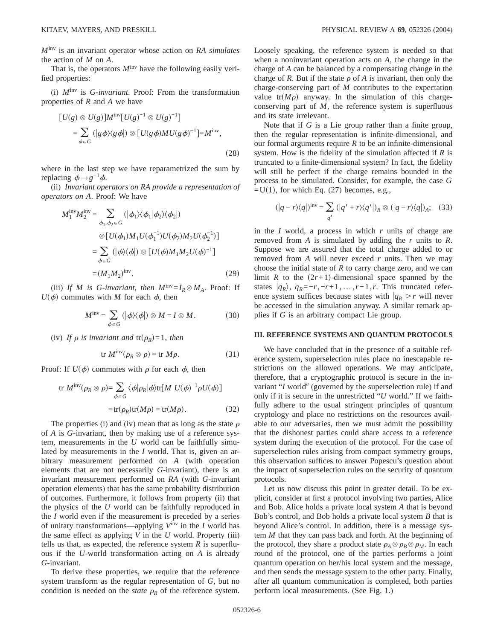*M*inv is an invariant operator whose action on *RA simulates* the action of *M* on *A*.

That is, the operators  $M^{\text{inv}}$  have the following easily verified properties:

(i) *M*inv is *G*-*invariant*. Proof: From the transformation properties of *R* and *A* we have

$$
[U(g) \otimes U(g)]M^{\text{inv}}[U(g)^{-1} \otimes U(g)^{-1}]
$$
  
= 
$$
\sum_{\phi \in G} (|g\phi\rangle\langle g\phi|) \otimes [U(g\phi)MU(g\phi)^{-1}] = M^{\text{inv}},
$$
 (28)

where in the last step we have reparametrized the sum by replacing  $\phi \rightarrow g^{-1}\phi$ .

(ii) *Invariant operators on RA provide a representation of operators on A*. Proof: We have

$$
M_1^{\text{inv}} M_2^{\text{inv}} = \sum_{\phi_1, \phi_2 \in G} (|\phi_1\rangle\langle\phi_1|\phi_2\rangle\langle\phi_2|)
$$
  

$$
\otimes [U(\phi_1)M_1U(\phi_1^{-1})U(\phi_2)M_2U(\phi_2^{-1})]
$$
  

$$
= \sum_{\phi \in G} (|\phi\rangle\langle\phi|) \otimes [U(\phi)M_1M_2U(\phi)^{-1}]
$$
  

$$
= (M_1M_2)^{\text{inv}}.
$$
 (29)

(iii) If M is G-invariant, then  $M^{\text{inv}} = I_R \otimes M_A$ . Proof: If  $U(\phi)$  commutes with *M* for each  $\phi$ , then

$$
M^{\text{inv}} = \sum_{\phi \in G} (|\phi\rangle\langle\phi|) \otimes M = I \otimes M. \tag{30}
$$

(iv) If  $\rho$  *is invariant and*  $tr(\rho_R)=1$ , *then* 

$$
\text{tr } M^{\text{inv}}(\rho_R \otimes \rho) = \text{tr } M\rho. \tag{31}
$$

Proof: If  $U(\phi)$  commutes with  $\rho$  for each  $\phi$ , then

tr 
$$
M^{\text{inv}}(\rho_R \otimes \rho) = \sum_{\phi \in G} \langle \phi | \rho_R | \phi \rangle \text{tr}[M \ U(\phi)^{-1} \rho U(\phi)]
$$
  
= tr $(\rho_R) \text{tr}(M\rho) = \text{tr}(M\rho).$  (32)

The properties (i) and (iv) mean that as long as the state  $\rho$ of *A* is *G*-invariant, then by making use of a reference system, measurements in the *U* world can be faithfully simulated by measurements in the *I* world. That is, given an arbitrary measurement performed on *A* (with operation elements that are not necessarily *G*-invariant), there is an invariant measurement performed on *RA* (with *G*-invariant operation elements) that has the same probability distribution of outcomes. Furthermore, it follows from property (ii) that the physics of the *U* world can be faithfully reproduced in the *I* world even if the measurement is preceded by a series of unitary transformations—applying *V*inv in the *I* world has the same effect as applying *V* in the *U* world. Property (iii) tells us that, as expected, the reference system  $R$  is superfluous if the *U*-world transformation acting on *A* is already *G*-invariant.

To derive these properties, we require that the reference system transform as the regular representation of *G*, but no condition is needed on the *state*  $\rho_R$  of the reference system. Loosely speaking, the reference system is needed so that when a noninvariant operation acts on *A*, the change in the charge of *A* can be balanced by a compensating change in the charge of *R*. But if the state  $\rho$  of *A* is invariant, then only the charge-conserving part of *M* contributes to the expectation value  $tr(M\rho)$  anyway. In the simulation of this chargeconserving part of *M*, the reference system is superfluous and its state irrelevant.

Note that if *G* is a Lie group rather than a finite group, then the regular representation is infinite-dimensional, and our formal arguments require *R* to be an infinite-dimensional system. How is the fidelity of the simulation affected if *R* is truncated to a finite-dimensional system? In fact, the fidelity will still be perfect if the charge remains bounded in the process to be simulated. Consider, for example, the case *G*  $=U(1)$ , for which Eq. (27) becomes, e.g.,

$$
(|q - r\rangle\langle q|)^{\text{inv}} = \sum_{q'} (|q' + r\rangle\langle q'|)_R \otimes (|q - r\rangle\langle q|)_A; \quad (33)
$$

in the *I* world, a process in which *r* units of charge are removed from *A* is simulated by adding the *r* units to *R*. Suppose we are assured that the total charge added to or removed from *A* will never exceed *r* units. Then we may choose the initial state of *R* to carry charge zero, and we can limit *R* to the  $(2r+1)$ -dimensional space spanned by the states  $|q_R\rangle$ ,  $q_R = -r, -r+1, \ldots, r-1, r$ . This truncated reference system suffices because states with  $|q_R| > r$  will never be accessed in the simulation anyway. A similar remark applies if *G* is an arbitrary compact Lie group.

### **III. REFERENCE SYSTEMS AND QUANTUM PROTOCOLS**

We have concluded that in the presence of a suitable reference system, superselection rules place no inescapable restrictions on the allowed operations. We may anticipate, therefore, that a cryptographic protocol is secure in the invariant "*I* world" (governed by the superselection rule) if and only if it is secure in the unrestricted "*U* world." If we faithfully adhere to the usual stringent principles of quantum cryptology and place no restrictions on the resources available to our adversaries, then we must admit the possibility that the dishonest parties could share access to a reference system during the execution of the protocol. For the case of superselection rules arising from compact symmetry groups, this observation suffices to answer Popescu's question about the impact of superselection rules on the security of quantum protocols.

Let us now discuss this point in greater detail. To be explicit, consider at first a protocol involving two parties, Alice and Bob. Alice holds a private local system *A* that is beyond Bob's control, and Bob holds a private local system *B* that is beyond Alice's control. In addition, there is a message system *M* that they can pass back and forth. At the beginning of the protocol, they share a product state  $\rho_A \otimes \rho_B \otimes \rho_M$ . In each round of the protocol, one of the parties performs a joint quantum operation on her/his local system and the message, and then sends the message system to the other party. Finally, after all quantum communication is completed, both parties perform local measurements. (See Fig. 1.)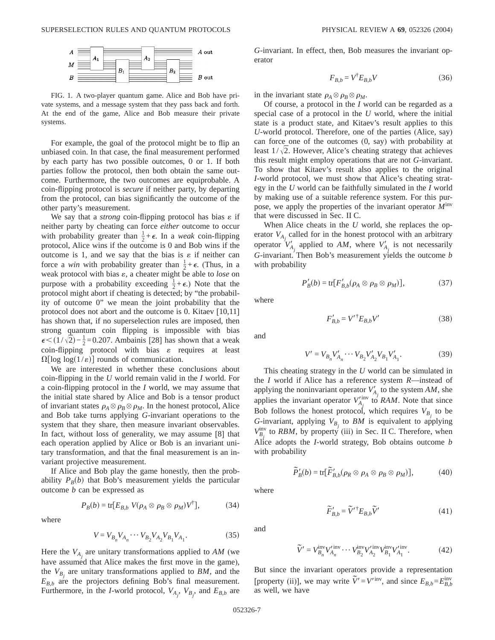

FIG. 1. A two-player quantum game. Alice and Bob have private systems, and a message system that they pass back and forth. At the end of the game, Alice and Bob measure their private systems.

For example, the goal of the protocol might be to flip an unbiased coin. In that case, the final measurement performed by each party has two possible outcomes, 0 or 1. If both parties follow the protocol, then both obtain the same outcome. Furthermore, the two outcomes are equiprobable. A coin-flipping protocol is *secure* if neither party, by departing from the protocol, can bias significantly the outcome of the other party's measurement.

We say that a *strong* coin-flipping protocol has bias  $\varepsilon$  if neither party by cheating can force *either* outcome to occur with probability greater than  $\frac{1}{2} + \epsilon$ . In a *weak* coin-flipping protocol, Alice wins if the outcome is 0 and Bob wins if the outcome is 1, and we say that the bias is  $\varepsilon$  if neither can force a *win* with probability greater than  $\frac{1}{2} + \epsilon$ . (Thus, in a weak protocol with bias  $\varepsilon$ , a cheater might be able to *lose* on purpose with a probability exceeding  $\frac{1}{2} + \epsilon$ .) Note that the protocol might abort if cheating is detected; by "the probability of outcome 0" we mean the joint probability that the protocol does not abort and the outcome is 0. Kitaev [10,11] has shown that, if no superselection rules are imposed, then strong quantum coin flipping is impossible with bias  $\epsilon$   $\leq$  (1/ $\sqrt{2}$ ) –  $\frac{1}{2}$  = 0.207. Ambainis [28] has shown that a weak coin-flipping protocol with bias  $\varepsilon$  requires at least  $\Omega[\log \log(1/\epsilon)]$  rounds of communication.

We are interested in whether these conclusions about coin-flipping in the *U* world remain valid in the *I* world. For a coin-flipping protocol in the *I* world, we may assume that the initial state shared by Alice and Bob is a tensor product of invariant states  $\rho_A \otimes \rho_B \otimes \rho_M$ . In the honest protocol, Alice and Bob take turns applying *G*-invariant operations to the system that they share, then measure invariant observables. In fact, without loss of generality, we may assume [8] that each operation applied by Alice or Bob is an invariant unitary transformation, and that the final measurement is an invariant projective measurement.

If Alice and Bob play the game honestly, then the probability  $P_B(b)$  that Bob's measurement yields the particular outcome *b* can be expressed as

$$
P_B(b) = \text{tr}[E_{B,b} \ V(\rho_A \otimes \rho_B \otimes \rho_M) V^{\dagger}], \tag{34}
$$

where

$$
V = V_{B_n} V_{A_n} \cdots V_{B_2} V_{A_2} V_{B_1} V_{A_1}.
$$
 (35)

Here the  $V_{A_i}$  are unitary transformations applied to  $AM$  (we have assumed that Alice makes the first move in the game), the  $V_{B_i}$  are unitary transformations applied to *BM*, and the  $E_{B,b}$  are the projectors defining Bob's final measurement. Furthermore, in the *I*-world protocol,  $V_{A_j}$ ,  $V_{B_j}$ , and  $E_{B,b}$  are

*G*-invariant. In effect, then, Bob measures the invariant operator

$$
F_{B,b} = V^{\dagger} E_{B,b} V \tag{36}
$$

in the invariant state  $\rho_A \otimes \rho_B \otimes \rho_M$ .

Of course, a protocol in the *I* world can be regarded as a special case of a protocol in the *U* world, where the initial state is a product state, and Kitaev's result applies to this *U*-world protocol. Therefore, one of the parties (Alice, say) can force one of the outcomes (0, say) with probability at least  $1/\sqrt{2}$ . However, Alice's cheating strategy that achieves this result might employ operations that are not *G*-invariant. To show that Kitaev's result also applies to the original *I*-world protocol, we must show that Alice's cheating strategy in the *U* world can be faithfully simulated in the *I* world by making use of a suitable reference system. For this purpose, we apply the properties of the invariant operator *M*inv that were discussed in Sec. II C.

When Alice cheats in the *U* world, she replaces the operator  $V_{A_i}$  called for in the honest protocol with an arbitrary operator  $V'_{A_j}$  applied to AM, where  $V'_{A_j}$  is not necessarily *G*-invariant. Then Bob's measurement yields the outcome *b* with probability

$$
P'_B(b) = \text{tr}[F'_{B,b}(\rho_A \otimes \rho_B \otimes \rho_M)],\tag{37}
$$

where

and

$$
F'_{B,b} = V'^{\dagger} E_{B,b} V' \tag{38}
$$

$$
V' = V_{B_n} V'_{A_n} \cdots V_{B_2} V'_{A_2} V_{B_1} V'_{A_1}.
$$
 (39)

This cheating strategy in the *U* world can be simulated in the *I* world if Alice has a reference system *R*—instead of applying the noninvariant operator  $V'_{A_j}$  to the system AM, she applies the invariant operator  $V_{A_j}^{\text{inv}}$  to *RAM*. Note that since Bob follows the honest protocol, which requires  $V_{B_j}$  to be *G*-invariant, applying  $V_{B_j}$  to *BM* is equivalent to applying  $V_{B_j}^{\text{inv}}$  to *RBM*, by property (iii) in Sec. II C. Therefore, when Alice adopts the *I*-world strategy, Bob obtains outcome *b* with probability

$$
\widetilde{P}'_B(b) = \text{tr}[\widetilde{F}'_{B,b}(\rho_R \otimes \rho_A \otimes \rho_B \otimes \rho_M)],\tag{40}
$$

where

$$
\widetilde{F}'_{B,b} = \widetilde{V}'^{\dagger} E_{B,b} \widetilde{V}' \tag{41}
$$

and

$$
\widetilde{V}' = V_{B_n}^{\text{inv}} V_{A_n}^{\text{inv}} \cdots V_{B_2}^{\text{inv}} V_{A_2}^{\text{inv}} V_{B_1}^{\text{inv}} V_{A_1}^{\text{inv}}.
$$
\n(42)

But since the invariant operators provide a representation [property (ii)], we may write  $\tilde{V}' = V'^{inv}$ , and since  $E_{B,b} = E_{B,b}^{inv}$ as well, we have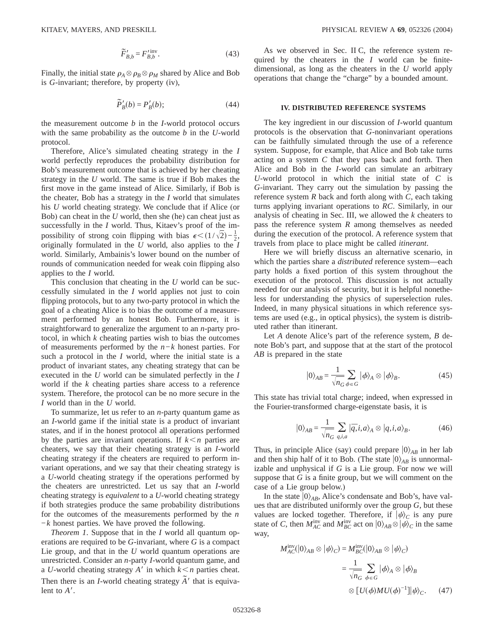$$
\widetilde{F}'_{B,b} = F'^{\text{inv}}_{B,b}.\tag{43}
$$

Finally, the initial state  $\rho_A \otimes \rho_B \otimes \rho_M$  shared by Alice and Bob is *G*-invariant; therefore, by property (iv),

$$
\widetilde{P}'_B(b) = P'_B(b); \tag{44}
$$

the measurement outcome *b* in the *I*-world protocol occurs with the same probability as the outcome *b* in the *U*-world protocol.

Therefore, Alice's simulated cheating strategy in the *I* world perfectly reproduces the probability distribution for Bob's measurement outcome that is achieved by her cheating strategy in the *U* world. The same is true if Bob makes the first move in the game instead of Alice. Similarly, if Bob is the cheater, Bob has a strategy in the *I* world that simulates his *U* world cheating strategy. We conclude that if Alice (or Bob) can cheat in the *U* world, then she (he) can cheat just as successfully in the *I* world. Thus, Kitaev's proof of the impossibility of strong coin flipping with bias  $\epsilon < (1/\sqrt{2}) - \frac{1}{2}$ , originally formulated in the *U* world, also applies to the *I* world. Similarly, Ambainis's lower bound on the number of rounds of communication needed for weak coin flipping also applies to the *I* world.

This conclusion that cheating in the *U* world can be successfully simulated in the *I* world applies not just to coin flipping protocols, but to any two-party protocol in which the goal of a cheating Alice is to bias the outcome of a measurement performed by an honest Bob. Furthermore, it is straightforward to generalize the argument to an *n*-party protocol, in which *k* cheating parties wish to bias the outcomes of measurements performed by the *n*−*k* honest parties. For such a protocol in the *I* world, where the initial state is a product of invariant states, any cheating strategy that can be executed in the *U* world can be simulated perfectly in the *I* world if the *k* cheating parties share access to a reference system. Therefore, the protocol can be no more secure in the *I* world than in the *U* world.

To summarize, let us refer to an *n*-party quantum game as an *I*-world game if the initial state is a product of invariant states, and if in the honest protocol all operations performed by the parties are invariant operations. If  $k < n$  parties are cheaters, we say that their cheating strategy is an *I*-world cheating strategy if the cheaters are required to perform invariant operations, and we say that their cheating strategy is a *U*-world cheating strategy if the operations performed by the cheaters are unrestricted. Let us say that an *I*-world cheating strategy is *equivalent* to a *U*-world cheating strategy if both strategies produce the same probability distributions for the outcomes of the measurements performed by the *n* −*k* honest parties. We have proved the following.

*Theorem 1*. Suppose that in the *I* world all quantum operations are required to be *G*-invariant, where *G* is a compact Lie group, and that in the *U* world quantum operations are unrestricted. Consider an *n*-party *I*-world quantum game, and a *U*-world cheating strategy *A'* in which  $k < n$  parties cheat. Then there is an *I*-world cheating strategy  $\tilde{A}^{\prime}$  that is equivalent to  $A<sup>′</sup>$ .

As we observed in Sec. II C, the reference system required by the cheaters in the *I* world can be finitedimensional, as long as the cheaters in the *U* world apply operations that change the "charge" by a bounded amount.

#### **IV. DISTRIBUTED REFERENCE SYSTEMS**

The key ingredient in our discussion of *I*-world quantum protocols is the observation that *G*-noninvariant operations can be faithfully simulated through the use of a reference system. Suppose, for example, that Alice and Bob take turns acting on a system *C* that they pass back and forth. Then Alice and Bob in the *I*-world can simulate an arbitrary *U*-world protocol in which the initial state of *C* is *G*-invariant. They carry out the simulation by passing the reference system *R* back and forth along with *C*, each taking turns applying invariant operations to *RC*. Similarly, in our analysis of cheating in Sec. III, we allowed the *k* cheaters to pass the reference system *R* among themselves as needed during the execution of the protocol. A reference system that travels from place to place might be called *itinerant*.

Here we will briefly discuss an alternative scenario, in which the parties share a *distributed* reference system—each party holds a fixed portion of this system throughout the execution of the protocol. This discussion is not actually needed for our analysis of security, but it is helpful nonetheless for understanding the physics of superselection rules. Indeed, in many physical situations in which reference systems are used (e.g., in optical physics), the system is distributed rather than itinerant.

Let *A* denote Alice's part of the reference system, *B* denote Bob's part, and suppose that at the start of the protocol *AB* is prepared in the state

$$
|0\rangle_{AB} = \frac{1}{\sqrt{n_G}} \sum_{\phi \in G} |\phi\rangle_A \otimes |\phi\rangle_B.
$$
 (45)

This state has trivial total charge; indeed, when expressed in the Fourier-transformed charge-eigenstate basis, it is

$$
|0\rangle_{AB} = \frac{1}{\sqrt{n_G}} \sum_{q,i,a} |\overline{q}, i, a\rangle_A \otimes |q, i, a\rangle_B.
$$
 (46)

Thus, in principle Alice (say) could prepare  $|0\rangle_{AB}$  in her lab and then ship half of it to Bob. (The state  $|0\rangle_{AB}$  is unnormalizable and unphysical if *G* is a Lie group. For now we will suppose that *G* is a finite group, but we will comment on the case of a Lie group below.)

In the state  $|0\rangle_{AB}$ , Alice's condensate and Bob's, have values that are distributed uniformly over the group *G*, but these values are locked together. Therefore, if  $|\psi\rangle_C$  is any pure state of *C*, then  $M_{AC}^{\text{inv}}$  and  $M_{BC}^{\text{inv}}$  act on  $|0\rangle_{AB} \otimes |\psi\rangle_C$  in the same way,

$$
M_{AC}^{\text{inv}}(|0\rangle_{AB} \otimes |\psi\rangle_{C}) = M_{BC}^{\text{inv}}(|0\rangle_{AB} \otimes |\psi\rangle_{C})
$$

$$
= \frac{1}{\sqrt{n_G}} \sum_{\phi \in G} |\phi\rangle_{A} \otimes |\phi\rangle_{B}
$$

$$
\otimes [U(\phi)MU(\phi)^{-1}]|\psi\rangle_{C}. \tag{47}
$$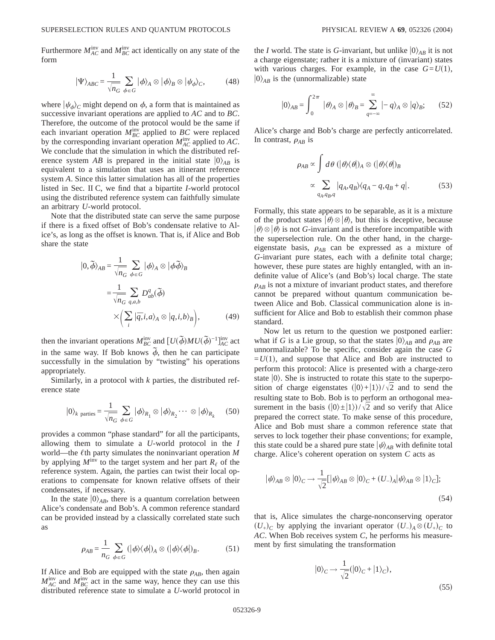Furthermore  $M_{AC}^{\text{inv}}$  and  $M_{BC}^{\text{inv}}$  act identically on any state of the form

$$
|\Psi\rangle_{ABC} = \frac{1}{\sqrt{n_G}} \sum_{\phi \in G} |\phi\rangle_A \otimes |\phi\rangle_B \otimes |\psi_\phi\rangle_C, \tag{48}
$$

where  $|\psi_{\phi}\rangle_c$  might depend on  $\phi$ , a form that is maintained as successive invariant operations are applied to *AC* and to *BC*. Therefore, the outcome of the protocol would be the same if each invariant operation  $M_{BC}^{\text{inv}}$  applied to *BC* were replaced by the corresponding invariant operation  $M_{AC}^{\text{inv}}$  applied to *AC*. We conclude that the simulation in which the distributed reference system *AB* is prepared in the initial state  $|0\rangle_{AB}$  is equivalent to a simulation that uses an itinerant reference system *A*. Since this latter simulation has all of the properties listed in Sec. II C, we find that a bipartite *I*-world protocol using the distributed reference system can faithfully simulate an arbitrary *U*-world protocol.

Note that the distributed state can serve the same purpose if there is a fixed offset of Bob's condensate relative to Alice's, as long as the offset is known. That is, if Alice and Bob share the state

$$
|0,\tilde{\phi}\rangle_{AB} = \frac{1}{\sqrt{n_G}} \sum_{\phi \in G} |\phi\rangle_A \otimes |\phi\tilde{\phi}\rangle_B
$$

$$
= \frac{1}{\sqrt{n_G}} \sum_{q,a,b} D_{ab}^q(\tilde{\phi})
$$

$$
\times \left(\sum_i |\bar{q}, i, a\rangle_A \otimes |q, i, b\rangle_B\right), \tag{49}
$$

then the invariant operations  $M_{BC}^{\text{inv}}$  and  $[U(\tilde{\phi})MU(\tilde{\phi})^{-1}]_{AC}^{\text{inv}}$  act in the same way. If Bob knows  $\tilde{\phi}$ , then he can participate successfully in the simulation by "twisting" his operations appropriately.

Similarly, in a protocol with *k* parties, the distributed reference state

$$
|0\rangle_{k \text{ parties}} = \frac{1}{\sqrt{n_G}} \sum_{\phi \in G} |\phi\rangle_{R_1} \otimes |\phi\rangle_{R_2} \cdots \otimes |\phi\rangle_{R_k} \quad (50)
$$

provides a common "phase standard" for all the participants, allowing them to simulate a *U*-world protocol in the *I* world—the  $\ell$ th party simulates the noninvariant operation  $M$ by applying  $M^{\text{inv}}$  to the target system and her part  $R_{\ell}$  of the reference system. Again, the parties can twist their local operations to compensate for known relative offsets of their condensates, if necessary.

In the state  $|0\rangle_{AB}$ , there is a quantum correlation between Alice's condensate and Bob's. A common reference standard can be provided instead by a classically correlated state such as

$$
\rho_{AB} = \frac{1}{n_G} \sum_{\phi \in G} (|\phi\rangle\langle\phi|)_A \otimes (|\phi\rangle\langle\phi|)_B. \tag{51}
$$

If Alice and Bob are equipped with the state  $\rho_{AB}$ , then again  $M_{AC}^{\text{inv}}$  and  $M_{BC}^{\text{inv}}$  act in the same way, hence they can use this distributed reference state to simulate a *U*-world protocol in the *I* world. The state is *G*-invariant, but unlike  $|0\rangle_{AB}$  it is not a charge eigenstate; rather it is a mixture of (invariant) states with various charges. For example, in the case  $G=U(1)$ ,  $|0\rangle_{AB}$  is the (unnormalizable) state

$$
|0\rangle_{AB} = \int_0^{2\pi} |\theta\rangle_A \otimes |\theta\rangle_B = \sum_{q=-\infty}^{\infty} |-q\rangle_A \otimes |q\rangle_B; \qquad (52)
$$

Alice's charge and Bob's charge are perfectly anticorrelated. In contrast,  $\rho_{AB}$  is

$$
\rho_{AB} \propto \int d\theta \, (|\theta\rangle\langle\theta|)_A \otimes (|\theta\rangle\langle\theta|)_B
$$

$$
\propto \sum_{q_A, q_B, q} |q_A, q_B\rangle\langle q_A - q, q_B + q|. \tag{53}
$$

Formally, this state appears to be separable, as it is a mixture of the product states  $|\theta \rangle \otimes |\theta \rangle$ , but this is deceptive, because  $|\theta \rangle \otimes |\theta \rangle$  is not *G*-invariant and is therefore incompatible with the superselection rule. On the other hand, in the chargeeigenstate basis,  $\rho_{AB}$  can be expressed as a mixture of *G*-invariant pure states, each with a definite total charge; however, these pure states are highly entangled, with an indefinite value of Alice's (and Bob's) local charge. The state  $\rho_{AB}$  is not a mixture of invariant product states, and therefore cannot be prepared without quantum communication between Alice and Bob. Classical communication alone is insufficient for Alice and Bob to establish their common phase standard.

Now let us return to the question we postponed earlier: what if *G* is a Lie group, so that the states  $|0\rangle_{AB}$  and  $\rho_{AB}$  are unnormalizable? To be specific, consider again the case *G*  $= U(1)$ , and suppose that Alice and Bob are instructed to perform this protocol: Alice is presented with a charge-zero state  $|0\rangle$ . She is instructed to rotate this state to the superposition of charge eigenstates  $(|0\rangle+|1\rangle)/\sqrt{2}$  and to send the resulting state to Bob. Bob is to perform an orthogonal measurement in the basis  $(|0\rangle \pm |1\rangle)/\sqrt{2}$  and so verify that Alice prepared the correct state. To make sense of this procedure, Alice and Bob must share a common reference state that serves to lock together their phase conventions; for example, this state could be a shared pure state  $|\psi\rangle_{AB}$  with definite total charge. Alice's coherent operation on system *C* acts as

$$
|\psi\rangle_{AB} \otimes |0\rangle_C \rightarrow \frac{1}{\sqrt{2}}[|\psi\rangle_{AB} \otimes |0\rangle_C + (U_{-})_A |\psi\rangle_{AB} \otimes |1\rangle_C];
$$
\n(54)

that is, Alice simulates the charge-nonconserving operator  $(U<sub>+</sub>)<sub>C</sub>$  by applying the invariant operator  $(U<sub>-</sub>)<sub>A</sub> \otimes (U<sub>+</sub>)<sub>C</sub>$  to *AC*. When Bob receives system *C*, he performs his measurement by first simulating the transformation

$$
|0\rangle_C \to \frac{1}{\sqrt{2}}(|0\rangle_C + |1\rangle_C),
$$
\n(55)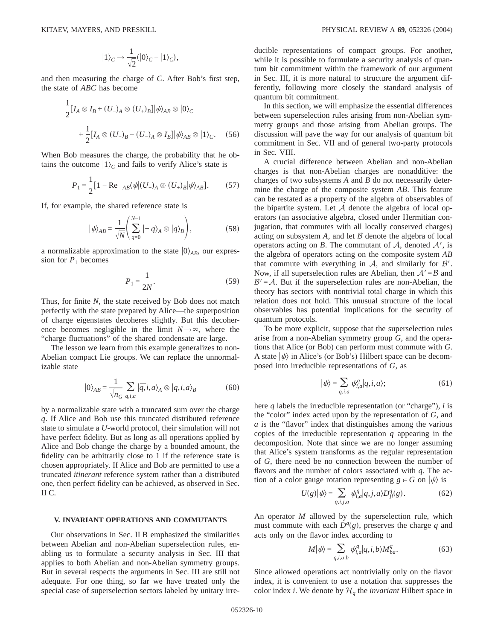$$
|1\rangle_C \rightarrow \frac{1}{\sqrt{2}}(|0\rangle_C - |1\rangle_C),
$$

and then measuring the charge of *C*. After Bob's first step, the state of *ABC* has become

$$
\frac{1}{2}[I_A \otimes I_B + (U_-)_A \otimes (U_+)_B]|\psi\rangle_{AB} \otimes |0\rangle_C
$$
  
+ 
$$
\frac{1}{2}[I_A \otimes (U_-)_B - (U_-)_A \otimes I_B]|\psi\rangle_{AB} \otimes |1\rangle_C.
$$
 (56)

When Bob measures the charge, the probability that he obtains the outcome  $|1\rangle_c$  and fails to verify Alice's state is

$$
P_1 = \frac{1}{2} [1 - \text{Re}_{AB} \langle \psi | (U_{-})_A \otimes (U_{+})_B | \psi \rangle_{AB}].
$$
 (57)

If, for example, the shared reference state is

$$
|\psi\rangle_{AB} = \frac{1}{\sqrt{N}} \left( \sum_{q=0}^{N-1} |-q\rangle_A \otimes |q\rangle_B \right),
$$
 (58)

a normalizable approximation to the state  $|0\rangle_{AB}$ , our expression for  $P_1$  becomes

$$
P_1 = \frac{1}{2N}.\tag{59}
$$

Thus, for finite *N*, the state received by Bob does not match perfectly with the state prepared by Alice—the superposition of charge eigenstates decoheres slightly. But this decoherence becomes negligible in the limit  $N \rightarrow \infty$ , where the "charge fluctuations" of the shared condensate are large.

The lesson we learn from this example generalizes to non-Abelian compact Lie groups. We can replace the unnormalizable state

$$
|0\rangle_{AB} = \frac{1}{\sqrt{n_G}} \sum_{q,i,a} |\bar{q}, i, a\rangle_A \otimes |q, i, a\rangle_B
$$
 (60)

by a normalizable state with a truncated sum over the charge *q*. If Alice and Bob use this truncated distributed reference state to simulate a *U*-world protocol, their simulation will not have perfect fidelity. But as long as all operations applied by Alice and Bob change the charge by a bounded amount, the fidelity can be arbitrarily close to 1 if the reference state is chosen appropriately. If Alice and Bob are permitted to use a truncated *itinerant* reference system rather than a distributed one, then perfect fidelity can be achieved, as observed in Sec. II C.

# **V. INVARIANT OPERATIONS AND COMMUTANTS**

Our observations in Sec. II B emphasized the similarities between Abelian and non-Abelian superselection rules, enabling us to formulate a security analysis in Sec. III that applies to both Abelian and non-Abelian symmetry groups. But in several respects the arguments in Sec. III are still not adequate. For one thing, so far we have treated only the special case of superselection sectors labeled by unitary irreducible representations of compact groups. For another, while it is possible to formulate a security analysis of quantum bit commitment within the framework of our argument in Sec. III, it is more natural to structure the argument differently, following more closely the standard analysis of quantum bit commitment.

In this section, we will emphasize the essential differences between superselection rules arising from non-Abelian symmetry groups and those arising from Abelian groups. The discussion will pave the way for our analysis of quantum bit commitment in Sec. VII and of general two-party protocols in Sec. VIII.

A crucial difference between Abelian and non-Abelian charges is that non-Abelian charges are nonadditive: the charges of two subsystems *A* and *B* do not necessarily determine the charge of the composite system *AB*. This feature can be restated as a property of the algebra of observables of the bipartite system. Let  $A$  denote the algebra of local operators (an associative algebra, closed under Hermitian conjugation, that commutes with all locally conserved charges) acting on subsystem  $A$ , and let  $B$  denote the algebra of local operators acting on *B*. The commutant of  $A$ , denoted  $A'$ , is the algebra of operators acting on the composite system *AB* that commute with everything in  $A$ , and similarly for  $B'$ . Now, if all superselection rules are Abelian, then  $A' = B$  and  $B' = A$ . But if the superselection rules are non-Abelian, the theory has sectors with nontrivial total charge in which this relation does not hold. This unusual structure of the local observables has potential implications for the security of quantum protocols.

To be more explicit, suppose that the superselection rules arise from a non-Abelian symmetry group *G*, and the operations that Alice (or Bob) can perform must commute with *G*. A state  $|\psi\rangle$  in Alice's (or Bob's) Hilbert space can be decomposed into irreducible representations of *G*, as

$$
|\psi\rangle = \sum_{q,i,a} \psi_{i,a}^q |q,i,a\rangle; \tag{61}
$$

here *q* labels the irreducible representation (or "charge"), *i* is the "color" index acted upon by the representation of *G*, and *a* is the "flavor" index that distinguishes among the various copies of the irreducible representation *q* appearing in the decomposition. Note that since we are no longer assuming that Alice's system transforms as the regular representation of *G*, there need be no connection between the number of flavors and the number of colors associated with *q*. The action of a color gauge rotation representing  $g \in G$  on  $|\psi\rangle$  is

$$
U(g)|\psi\rangle = \sum_{q,i,j,a} \psi_{i,a}^q |q,j,a\rangle D_{ji}^q(g).
$$
 (62)

An operator *M* allowed by the superselection rule, which must commute with each  $D<sup>q</sup>(g)$ , preserves the charge *q* and acts only on the flavor index according to

$$
M|\psi\rangle = \sum_{q,i,a,b} \psi_{i,a}^q |q,i,b\rangle M_{ba}^q.
$$
 (63)

Since allowed operations act nontrivially only on the flavor index, it is convenient to use a notation that suppresses the color index *i*. We denote by  $\mathcal{H}_q$  the *invariant* Hilbert space in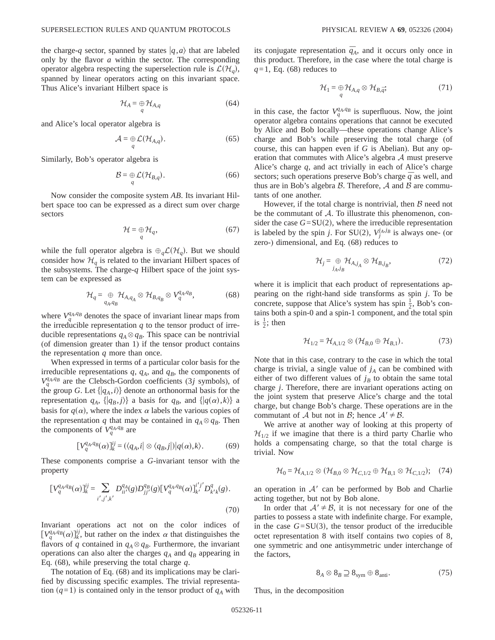the charge-*q* sector, spanned by states  $|q, a\rangle$  that are labeled only by the flavor *a* within the sector. The corresponding operator algebra respecting the superselection rule is  $\mathcal{L}(\mathcal{H}_q)$ , spanned by linear operators acting on this invariant space. Thus Alice's invariant Hilbert space is

$$
\mathcal{H}_A = \bigoplus_q \mathcal{H}_{A,q} \tag{64}
$$

and Alice's local operator algebra is

$$
\mathcal{A} = \underset{q}{\oplus} \mathcal{L}(\mathcal{H}_{A,q}). \tag{65}
$$

Similarly, Bob's operator algebra is

$$
\mathcal{B} = \underset{q}{\oplus} \mathcal{L}(\mathcal{H}_{B,q}). \tag{66}
$$

Now consider the composite system *AB*. Its invariant Hilbert space too can be expressed as a direct sum over charge sectors

$$
\mathcal{H} = \underset{q}{\oplus} \mathcal{H}_q,\tag{67}
$$

while the full operator algebra is  $\bigoplus_{q} \mathcal{L}(\mathcal{H}_{q})$ . But we should consider how  $\mathcal{H}_q$  is related to the invariant Hilbert spaces of the subsystems. The charge-*q* Hilbert space of the joint system can be expressed as

$$
\mathcal{H}_q = \underset{q_A, q_B}{\oplus} \mathcal{H}_{A, q_A} \otimes \mathcal{H}_{B, q_B} \otimes V_q^{q_A, q_B}, \tag{68}
$$

where  $V_q^{q_A, q_B}$  denotes the space of invariant linear maps from the irreducible representation  $q$  to the tensor product of irreducible representations  $q_A \otimes q_B$ . This space can be nontrivial (of dimension greater than 1) if the tensor product contains the representation *q* more than once.

When expressed in terms of a particular color basis for the irreducible representations  $q$ ,  $q_A$ , and  $q_B$ , the components of  $V_q^{q_A,q_B}$  are the Clebsch-Gordon coefficients (3*j* symbols), of the group *G*. Let  $\{ |q_A, i \rangle \}$  denote an orthonormal basis for the representation  $q_A$ ,  $\{|q_B, j\rangle\}$  a basis for  $q_B$ , and  $\{|q(\alpha), k\rangle\}$  a basis for  $q(\alpha)$ , where the index  $\alpha$  labels the various copies of the representation *q* that may be contained in  $q_A \otimes q_B$ . Then the components of  $\overline{V_q^{q_A,q_B}}$  are

$$
[V_q^{q_A,q_B}(\alpha)]_k^{ij} = (\langle q_A, i | \otimes \langle q_B, j | \rangle | q(\alpha), k \rangle. \tag{69}
$$

These components comprise a *G*-invariant tensor with the property

$$
\left[V_q^{q_A,q_B}(\alpha)\right]_k^{ij} = \sum_{i',j',k'} D_{ii'}^{q_A}(g) D_{jj'}^{q_B}(g) \left[V_q^{q_A,q_B}(\alpha)\right]_{k'}^{i'j'} D_{k'k}^q(g).
$$
\n(70)

Invariant operations act not on the color indices of  $[V_q^{q_A,q_B}(\alpha)]_k^{ij}$ , but rather on the index  $\alpha$  that distinguishes the flavors of *q* contained in  $q_A \otimes q_B$ . Furthermore, the invariant operations can also alter the charges  $q_A$  and  $q_B$  appearing in Eq. (68), while preserving the total charge *q*.

The notation of Eq. (68) and its implications may be clarified by discussing specific examples. The trivial representation  $(q=1)$  is contained only in the tensor product of  $q_A$  with

its conjugate representation  $\bar{q}_A$ , and it occurs only once in this product. Therefore, in the case where the total charge is  $q=1$ , Eq. (68) reduces to

$$
\mathcal{H}_1 = \underset{q}{\oplus} \mathcal{H}_{A,q} \otimes \mathcal{H}_{B,\overline{q}}; \tag{71}
$$

in this case, the factor  $V_q^{q_A,q_B}$  is superfluous. Now, the joint operator algebra contains operations that cannot be executed by Alice and Bob locally—these operations change Alice's charge and Bob's while preserving the total charge (of course, this can happen even if *G* is Abelian). But any operation that commutes with Alice's algebra A must preserve Alice's charge *q*, and act trivially in each of Alice's charge sectors; such operations preserve Bob's charge  $\bar{q}$  as well, and thus are in Bob's algebra  $\beta$ . Therefore,  $\mathcal A$  and  $\mathcal B$  are commutants of one another.

However, if the total charge is nontrivial, then  $\beta$  need not be the commutant of  $A$ . To illustrate this phenomenon, consider the case  $G = SU(2)$ , where the irreducible representation is labeled by the spin *j*. For SU(2),  $V_j^{j_A j_B}$  is always one- (or zero-) dimensional, and Eq. (68) reduces to

$$
\mathcal{H}_j = \underset{j_A, j_B}{\oplus} \mathcal{H}_{A, j_A} \otimes \mathcal{H}_{B, j_B},\tag{72}
$$

where it is implicit that each product of representations appearing on the right-hand side transforms as spin *j*. To be concrete, suppose that Alice's system has spin  $\frac{1}{2}$ , Bob's contains both a spin-0 and a spin-1 component, and the total spin is  $\frac{1}{2}$ ; then

$$
\mathcal{H}_{1/2} = \mathcal{H}_{A,1/2} \otimes (\mathcal{H}_{B,0} \oplus \mathcal{H}_{B,1}). \tag{73}
$$

Note that in this case, contrary to the case in which the total charge is trivial, a single value of  $j_A$  can be combined with either of two different values of  $j_B$  to obtain the same total charge *j*. Therefore, there are invariant operations acting on the joint system that preserve Alice's charge and the total charge, but change Bob's charge. These operations are in the commutant of A but not in B; hence  $A' \neq B$ .

We arrive at another way of looking at this property of  $\mathcal{H}_{1/2}$  if we imagine that there is a third party Charlie who holds a compensating charge, so that the total charge is trivial. Now

$$
\mathcal{H}_0 = \mathcal{H}_{A,1/2} \otimes (\mathcal{H}_{B,0} \otimes \mathcal{H}_{C,1/2} \oplus \mathcal{H}_{B,1} \otimes \mathcal{H}_{C,1/2}); \quad (74)
$$

an operation in  $A'$  can be performed by Bob and Charlie acting together, but not by Bob alone.

In order that  $A' \neq B$ , it is not necessary for one of the parties to possess a state with indefinite charge. For example, in the case  $G = SU(3)$ , the tensor product of the irreducible octet representation 8 with itself contains two copies of 8, one symmetric and one antisymmetric under interchange of the factors,

$$
8_A \otimes 8_B \supseteq 8_{sym} \oplus 8_{anti}.
$$
 (75)

Thus, in the decomposition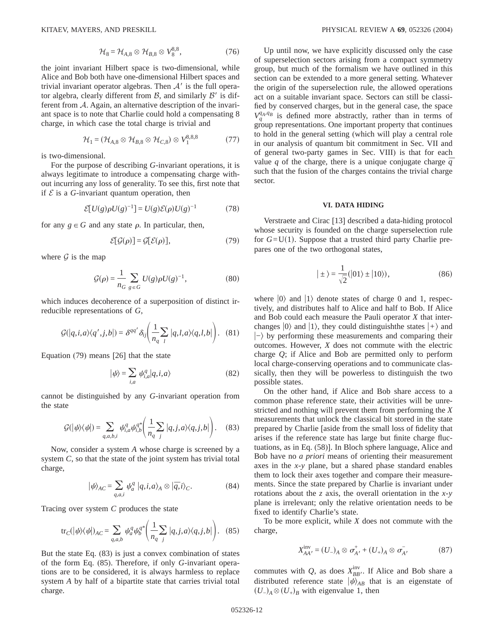$$
\mathcal{H}_8 = \mathcal{H}_{A,8} \otimes \mathcal{H}_{B,8} \otimes V_8^{8,8},\tag{76}
$$

the joint invariant Hilbert space is two-dimensional, while Alice and Bob both have one-dimensional Hilbert spaces and trivial invariant operator algebras. Then  $A<sup>'</sup>$  is the full operator algebra, clearly different from  $\beta$ , and similarly  $\beta'$  is different from A. Again, an alternative description of the invariant space is to note that Charlie could hold a compensating 8 charge, in which case the total charge is trivial and

$$
\mathcal{H}_1 = (\mathcal{H}_{A,8} \otimes \mathcal{H}_{B,8} \otimes \mathcal{H}_{C,8}) \otimes V_1^{8,8,8} \tag{77}
$$

is two-dimensional.

For the purpose of describing *G*-invariant operations, it is always legitimate to introduce a compensating charge without incurring any loss of generality. To see this, first note that if  $E$  is a  $G$ -invariant quantum operation, then

$$
\mathcal{E}[U(g)\rho U(g)^{-1}] = U(g)\mathcal{E}(\rho)U(g)^{-1} \tag{78}
$$

for any  $g \in G$  and any state  $\rho$ . In particular, then,

$$
\mathcal{E}[\mathcal{G}(\rho)] = \mathcal{G}[\mathcal{E}(\rho)],\tag{79}
$$

where  $G$  is the map

$$
\mathcal{G}(\rho) = \frac{1}{n_G} \sum_{g \in G} U(g) \rho U(g)^{-1},
$$
\n(80)

which induces decoherence of a superposition of distinct irreducible representations of *G*,

$$
\mathcal{G}(|q,i,a\rangle\langle q',j,b|) = \delta^{qq'} \delta_{ij} \left( \frac{1}{n_q} \sum_l |q,l,a\rangle\langle q,l,b| \right). \tag{81}
$$

Equation (79) means [26] that the state

$$
|\psi\rangle = \sum_{i,a} \psi_{i,a}^q |q,i,a\rangle \tag{82}
$$

cannot be distinguished by any *G*-invariant operation from the state

$$
\mathcal{G}(|\psi\rangle\langle\psi|) = \sum_{q,a,b,i} \psi_{i,a}^q \psi_{i,b}^{q^*} \left(\frac{1}{n_q} \sum_j |q,j,a\rangle\langle q,j,b|\right). \tag{83}
$$

Now, consider a system *A* whose charge is screened by a system *C*, so that the state of the joint system has trivial total charge,

$$
|\psi\rangle_{AC} = \sum_{q,a,i} \psi_a^q |q,i,a\rangle_A \otimes |\bar{q},i\rangle_C.
$$
 (84)

Tracing over system *C* produces the state

$$
\text{tr}_C(|\psi\rangle\langle\psi|)_{AC} = \sum_{q,a,b} \psi_a^q \psi_b^{q^*} \left(\frac{1}{n_q} \sum_j |q,j,a\rangle\langle q,j,b|\right). \tag{85}
$$

But the state Eq. (83) is just a convex combination of states of the form Eq. (85). Therefore, if only *G*-invariant operations are to be considered, it is always harmless to replace system *A* by half of a bipartite state that carries trivial total charge.

Up until now, we have explicitly discussed only the case of superselection sectors arising from a compact symmetry group, but much of the formalism we have outlined in this section can be extended to a more general setting. Whatever the origin of the superselection rule, the allowed operations act on a suitable invariant space. Sectors can still be classified by conserved charges, but in the general case, the space  $V_q^{q_A,q_B}$  is defined more abstractly, rather than in terms of group representations. One important property that continues to hold in the general setting (which will play a central role in our analysis of quantum bit commitment in Sec. VII and of general two-party games in Sec. VIII) is that for each value *q* of the charge, there is a unique conjugate charge  $\bar{q}$ such that the fusion of the charges contains the trivial charge sector.

## **VI. DATA HIDING**

Verstraete and Cirac [13] described a data-hiding protocol whose security is founded on the charge superselection rule for  $G=U(1)$ . Suppose that a trusted third party Charlie prepares one of the two orthogonal states,

$$
|\pm\rangle = \frac{1}{\sqrt{2}}(|01\rangle \pm |10\rangle),\tag{86}
$$

where  $|0\rangle$  and  $|1\rangle$  denote states of charge 0 and 1, respectively, and distributes half to Alice and half to Bob. If Alice and Bob could each measure the Pauli operator *X* that interchanges  $|0\rangle$  and  $|1\rangle$ , they could distinguishthe states  $|+\rangle$  and  $\ket{\ }$  by performing these measurements and comparing their outcomes. However, *X* does not commute with the electric charge *Q*; if Alice and Bob are permitted only to perform local charge-conserving operations and to communicate classically, then they will be powerless to distinguish the two possible states.

On the other hand, if Alice and Bob share access to a common phase reference state, their activities will be unrestricted and nothing will prevent them from performing the *X* measurements that unlock the classical bit stored in the state prepared by Charlie [aside from the small loss of fidelity that arises if the reference state has large but finite charge fluctuations, as in Eq. (58)]. In Bloch sphere language, Alice and Bob have no *a priori* means of orienting their measurement axes in the *x*-*y* plane, but a shared phase standard enables them to lock their axes together and compare their measurements. Since the state prepared by Charlie is invariant under rotations about the *z* axis, the overall orientation in the *x*-*y* plane is irrelevant; only the relative orientation needs to be fixed to identify Charlie's state.

To be more explicit, while *X* does not commute with the charge,

$$
X_{AA'}^{\text{inv}} = (U_{-})_{A} \otimes \sigma_{A'}^{+} + (U_{+})_{A} \otimes \sigma_{A'}^{-} \tag{87}
$$

commutes with *Q*, as does  $X_{BB'}^{\text{inv}}$ . If Alice and Bob share a distributed reference state  $|\psi\rangle_{AB}$  that is an eigenstate of  $(U<sub>-</sub>)<sub>A</sub> \otimes (U<sub>+</sub>)<sub>B</sub>$  with eigenvalue 1, then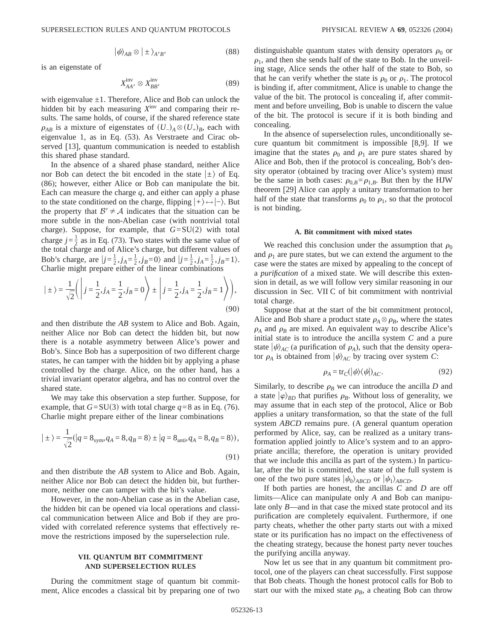$$
|\psi\rangle_{AB} \otimes | \pm \rangle_{A'B'} \tag{88}
$$

is an eigenstate of

$$
X_{AA'}^{\text{inv}} \otimes X_{BB'}^{\text{inv}} \tag{89}
$$

with eigenvalue  $\pm 1$ . Therefore, Alice and Bob can unlock the hidden bit by each measuring *X*inv and comparing their results. The same holds, of course, if the shared reference state  $\rho_{AB}$  is a mixture of eigenstates of  $(U_1)_A \otimes (U_+)_{B}$ , each with eigenvalue 1, as in Eq. (53). As Verstraete and Cirac observed [13], quantum communication is needed to establish this shared phase standard.

In the absence of a shared phase standard, neither Alice nor Bob can detect the bit encoded in the state  $|\pm\rangle$  of Eq. (86); however, either Alice or Bob can manipulate the bit. Each can measure the charge  $q$ , and either can apply a phase to the state conditioned on the charge, flipping  $|+\rangle \leftrightarrow |-\rangle$ . But the property that  $\mathcal{B}' \neq \mathcal{A}$  indicates that the situation can be more subtle in the non-Abelian case (with nontrivial total charge). Suppose, for example, that  $G = SU(2)$  with total charge  $j = \frac{1}{2}$  as in Eq. (73). Two states with the same value of the total charge and of Alice's charge, but different values of Bob's charge, are  $|j = \frac{1}{2}, j_A = \frac{1}{2}, j_B = 0\rangle$  and  $|j = \frac{1}{2}, j_A = \frac{1}{2}, j_B = 1\rangle$ . Charlie might prepare either of the linear combinations

$$
|\pm\rangle = \frac{1}{\sqrt{2}} \left( j = \frac{1}{2}, j_A = \frac{1}{2}, j_B = 0 \right) \pm j = \frac{1}{2}, j_A = \frac{1}{2}, j_B = 1 \right),
$$
\n  
\n(90)

and then distribute the *AB* system to Alice and Bob. Again, neither Alice nor Bob can detect the hidden bit, but now there is a notable asymmetry between Alice's power and Bob's. Since Bob has a superposition of two different charge states, he can tamper with the hidden bit by applying a phase controlled by the charge. Alice, on the other hand, has a trivial invariant operator algebra, and has no control over the shared state.

We may take this observation a step further. Suppose, for example, that  $G = SU(3)$  with total charge  $q = 8$  as in Eq. (76). Charlie might prepare either of the linear combinations

$$
|\pm\rangle = \frac{1}{\sqrt{2}}(|q=8_{\text{sym}},q_A=8,q_B=8\rangle \pm |q=8_{\text{anti}},q_A=8,q_B=8\rangle),
$$
\n  
\n(91)

and then distribute the *AB* system to Alice and Bob. Again, neither Alice nor Bob can detect the hidden bit, but furthermore, neither one can tamper with the bit's value.

However, in the non-Abelian case as in the Abelian case, the hidden bit can be opened via local operations and classical communication between Alice and Bob if they are provided with correlated reference systems that effectively remove the restrictions imposed by the superselection rule.

# **VII. QUANTUM BIT COMMITMENT AND SUPERSELECTION RULES**

During the commitment stage of quantum bit commitment, Alice encodes a classical bit by preparing one of two distinguishable quantum states with density operators  $\rho_0$  or  $\rho_1$ , and then she sends half of the state to Bob. In the unveiling stage, Alice sends the other half of the state to Bob, so that he can verify whether the state is  $\rho_0$  or  $\rho_1$ . The protocol is binding if, after commitment, Alice is unable to change the value of the bit. The protocol is concealing if, after commitment and before unveiling, Bob is unable to discern the value of the bit. The protocol is secure if it is both binding and concealing.

In the absence of superselection rules, unconditionally secure quantum bit commitment is impossible [8,9]. If we imagine that the states  $\rho_0$  and  $\rho_1$  are pure states shared by Alice and Bob, then if the protocol is concealing, Bob's density operator (obtained by tracing over Alice's system) must be the same in both cases:  $\rho_{0,B} = \rho_{1,B}$ . But then by the HJW theorem [29] Alice can apply a unitary transformation to her half of the state that transforms  $\rho_0$  to  $\rho_1$ , so that the protocol is not binding.

#### **A. Bit commitment with mixed states**

We reached this conclusion under the assumption that  $\rho_0$ and  $\rho_1$  are pure states, but we can extend the argument to the case were the states are mixed by appealing to the concept of a *purification* of a mixed state. We will describe this extension in detail, as we will follow very similar reasoning in our discussion in Sec. VII C of bit commitment with nontrivial total charge.

Suppose that at the start of the bit commitment protocol, Alice and Bob share a product state  $\rho_A \otimes \rho_B$ , where the states  $\rho_A$  and  $\rho_B$  are mixed. An equivalent way to describe Alice's initial state is to introduce the ancilla system *C* and a pure state  $|\psi\rangle_{AC}$  (a purification of  $\rho_A$ ), such that the density operator  $\rho_A$  is obtained from  $|\psi\rangle_{AC}$  by tracing over system *C*:

$$
\rho_A = \text{tr}_C(|\psi\rangle\langle\psi|)_{AC}.\tag{92}
$$

Similarly, to describe  $\rho_B$  we can introduce the ancilla *D* and a state  $|\varphi\rangle_{BD}$  that purifies  $\rho_B$ . Without loss of generality, we may assume that in each step of the protocol, Alice or Bob applies a unitary transformation, so that the state of the full system *ABCD* remains pure. (A general quantum operation performed by Alice, say, can be realized as a unitary transformation applied jointly to Alice's system and to an appropriate ancilla; therefore, the operation is unitary provided that we include this ancilla as part of the system.) In particular, after the bit is committed, the state of the full system is one of the two pure states  $|\psi_0\rangle_{ABCD}$  or  $|\psi_1\rangle_{ABCD}$ .

If both parties are honest, the ancillas *C* and *D* are off limits—Alice can manipulate only *A* and Bob can manipulate only *B*—and in that case the mixed state protocol and its purification are completely equivalent. Furthermore, if one party cheats, whether the other party starts out with a mixed state or its purification has no impact on the effectiveness of the cheating strategy, because the honest party never touches the purifying ancilla anyway.

Now let us see that in any quantum bit commitment protocol, one of the players can cheat successfully. First suppose that Bob cheats. Though the honest protocol calls for Bob to start our with the mixed state  $\rho_B$ , a cheating Bob can throw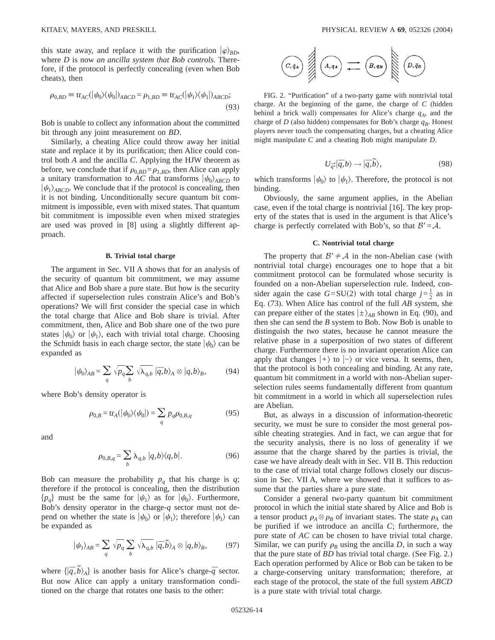this state away, and replace it with the purification  $|\varphi\rangle_{BD}$ , where *D* is now *an ancilla system that Bob controls*. Therefore, if the protocol is perfectly concealing (even when Bob cheats), then

$$
\rho_{0,BD} \equiv \text{tr}_{AC}(|\psi_0\rangle\langle\psi_0|)_{ABCD} = \rho_{1,BD} \equiv \text{tr}_{AC}(|\psi_1\rangle\langle\psi_1|)_{ABCD};
$$
\n(93)

Bob is unable to collect any information about the committed bit through any joint measurement on *BD*.

Similarly, a cheating Alice could throw away her initial state and replace it by its purification; then Alice could control both *A* and the ancilla *C*. Applying the HJW theorem as before, we conclude that if  $\rho_{0,BD} = \rho_{1,BD}$ , then Alice can apply a unitary transformation to *AC* that transforms  $|\psi_0\rangle_{ABCD}$  to  $|\psi_1\rangle_{ABCD}$ . We conclude that if the protocol is concealing, then it is not binding. Unconditionally secure quantum bit commitment is impossible, even with mixed states. That quantum bit commitment is impossible even when mixed strategies are used was proved in [8] using a slightly different approach.

### **B. Trivial total charge**

The argument in Sec. VII A shows that for an analysis of the security of quantum bit commitment, we may assume that Alice and Bob share a pure state. But how is the security affected if superselection rules constrain Alice's and Bob's operations? We will first consider the special case in which the total charge that Alice and Bob share is trivial. After commitment, then, Alice and Bob share one of the two pure states  $|\psi_0\rangle$  or  $|\psi_1\rangle$ , each with trivial total charge. Choosing the Schmidt basis in each charge sector, the state  $|\psi_0\rangle$  can be expanded as

$$
|\psi_0\rangle_{AB} = \sum_q \sqrt{p_q} \sum_b \sqrt{\lambda_{q,b}} \, |\bar{q}, b\rangle_A \otimes |q, b\rangle_B, \tag{94}
$$

where Bob's density operator is

$$
\rho_{0,B} = \text{tr}_A(|\psi_0\rangle\langle\psi_0|) = \sum_q p_q \rho_{0,B,q} \tag{95}
$$

and

$$
\rho_{0,B,q} = \sum_{b} \lambda_{q,b} |q,b\rangle\langle q,b|.
$$
 (96)

Bob can measure the probability  $p_q$  that his charge is  $q$ ; therefore if the protocol is concealing, then the distribution  $\{p_a\}$  must be the same for  $|\psi_1\rangle$  as for  $|\psi_0\rangle$ . Furthermore, Bob's density operator in the charge-*q* sector must not depend on whether the state is  $|\psi_0\rangle$  or  $|\psi_1\rangle$ ; therefore  $|\psi_1\rangle$  can be expanded as

$$
|\psi_1\rangle_{AB} = \sum_q \sqrt{p_q} \sum_b \sqrt{\lambda_{q,b}} \left| \bar{q}, \tilde{b} \right\rangle_A \otimes |q, b\rangle_B, \tag{97}
$$

where  $\{\vert \bar{q}, \tilde{b} \rangle_A\}$  is another basis for Alice's charge- $\bar{q}$  sector. But now Alice can apply a unitary transformation conditioned on the charge that rotates one basis to the other:



FIG. 2. "Purification" of a two-party game with nontrivial total charge. At the beginning of the game, the charge of *C* (hidden behind a brick wall) compensates for Alice's charge  $q_A$ , and the charge of  $D$  (also hidden) compensates for Bob's charge  $q_B$ . Honest players never touch the compensating charges, but a cheating Alice might manipulate *C* and a cheating Bob might manipulate *D*.

$$
U_{\vec{q}}:\vert \vec{q},b\rangle \rightarrow \vert \vec{q},\tilde{b}\rangle, \tag{98}
$$

which transforms  $|\psi_0\rangle$  to  $|\psi_1\rangle$ . Therefore, the protocol is not binding.

Obviously, the same argument applies, in the Abelian case, even if the total charge is nontrivial [16]. The key property of the states that is used in the argument is that Alice's charge is perfectly correlated with Bob's, so that  $B' = A$ .

### **C. Nontrivial total charge**

The property that  $\mathcal{B}' \neq \mathcal{A}$  in the non-Abelian case (with nontrivial total charge) encourages one to hope that a bit commitment protocol can be formulated whose security is founded on a non-Abelian superselection rule. Indeed, consider again the case  $G = SU(2)$  with total charge  $j = \frac{1}{2}$  as in Eq. (73). When Alice has control of the full *AB* system, she can prepare either of the states  $|\pm\rangle_{AB}$  shown in Eq. (90), and then she can send the *B* system to Bob. Now Bob is unable to distinguish the two states, because he cannot measure the relative phase in a superposition of two states of different charge. Furthermore there is no invariant operation Alice can apply that changes  $\vert + \rangle$  to  $\vert - \rangle$  or vice versa. It seems, then, that the protocol is both concealing and binding. At any rate, quantum bit commitment in a world with non-Abelian superselection rules seems fundamentally different from quantum bit commitment in a world in which all superselection rules are Abelian.

But, as always in a discussion of information-theoretic security, we must be sure to consider the most general possible cheating strategies. And in fact, we can argue that for the security analysis, there is no loss of generality if we assume that the charge shared by the parties is trivial, the case we have already dealt with in Sec. VII B. This reduction to the case of trivial total charge follows closely our discussion in Sec. VII A, where we showed that it suffices to assume that the parties share a pure state.

Consider a general two-party quantum bit commitment protocol in which the initial state shared by Alice and Bob is a tensor product  $\rho_A \otimes \rho_B$  of invariant states. The state  $\rho_A$  can be purified if we introduce an ancilla *C*; furthermore, the pure state of *AC* can be chosen to have trivial total charge. Similar, we can purify  $\rho_B$  using the ancilla *D*, in such a way that the pure state of *BD* has trivial total charge. (See Fig. 2.) Each operation performed by Alice or Bob can be taken to be a charge-conserving unitary transformation; therefore, at each stage of the protocol, the state of the full system *ABCD* is a pure state with trivial total charge.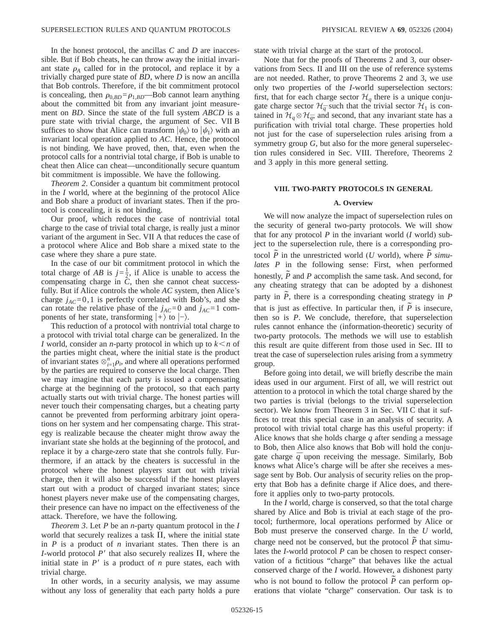In the honest protocol, the ancillas *C* and *D* are inaccessible. But if Bob cheats, he can throw away the initial invariant state  $\rho_A$  called for in the protocol, and replace it by a trivially charged pure state of *BD*, where *D* is now an ancilla that Bob controls. Therefore, if the bit commitment protocol is concealing, then  $\rho_{0,BD} = \rho_{1,BD}$ —Bob cannot learn anything about the committed bit from any invariant joint measurement on *BD*. Since the state of the full system *ABCD* is a pure state with trivial charge, the argument of Sec. VII B suffices to show that Alice can transform  $|\psi_0\rangle$  to  $|\psi_1\rangle$  with an invariant local operation applied to *AC*. Hence, the protocol is not binding. We have proved, then, that, even when the protocol calls for a nontrivial total charge, if Bob is unable to cheat then Alice can cheat—unconditionally secure quantum bit commitment is impossible. We have the following.

*Theorem 2*. Consider a quantum bit commitment protocol in the *I* world, where at the beginning of the protocol Alice and Bob share a product of invariant states. Then if the protocol is concealing, it is not binding.

Our proof, which reduces the case of nontrivial total charge to the case of trivial total charge, is really just a minor variant of the argument in Sec. VII A that reduces the case of a protocol where Alice and Bob share a mixed state to the case where they share a pure state.

In the case of our bit commitment protocol in which the total charge of *AB* is  $j = \frac{1}{2}$ , if Alice is unable to access the compensating charge in  $\bar{C}$ , then she cannot cheat successfully. But if Alice controls the whole *AC* system, then Alice's charge  $j_{AC}=0,1$  is perfectly correlated with Bob's, and she can rotate the relative phase of the  $j_{AC}=0$  and  $j_{AC}=1$  components of her state, transforming  $|+\rangle$  to  $|-\rangle$ .

This reduction of a protocol with nontrivial total charge to a protocol with trivial total charge can be generalized. In the *I* world, consider an *n*-party protocol in which up to  $k \le n$  of the parties might cheat, where the initial state is the product of invariant states  $\otimes_{i=1}^n \rho_i$ , and where all operations performed by the parties are required to conserve the local charge. Then we may imagine that each party is issued a compensating charge at the beginning of the protocol, so that each party actually starts out with trivial charge. The honest parties will never touch their compensating charges, but a cheating party cannot be prevented from performing arbitrary joint operations on her system and her compensating charge. This strategy is realizable because the cheater might throw away the invariant state she holds at the beginning of the protocol, and replace it by a charge-zero state that she controls fully. Furthermore, if an attack by the cheaters is successful in the protocol where the honest players start out with trivial charge, then it will also be successful if the honest players start out with a product of charged invariant states; since honest players never make use of the compensating charges, their presence can have no impact on the effectiveness of the attack. Therefore, we have the following.

*Theorem 3*. Let *P* be an *n*-party quantum protocol in the *I* world that securely realizes a task  $\Pi$ , where the initial state in *P* is a product of *n* invariant states. Then there is an *I*-world protocol  $P'$  that also securely realizes  $\Pi$ , where the initial state in  $P'$  is a product of  $n$  pure states, each with trivial charge.

In other words, in a security analysis, we may assume without any loss of generality that each party holds a pure state with trivial charge at the start of the protocol.

Note that for the proofs of Theorems 2 and 3, our observations from Secs. II and III on the use of reference systems are not needed. Rather, to prove Theorems 2 and 3, we use only two properties of the *I*-world superselection sectors: first, that for each charge sector  $\mathcal{H}_a$  there is a unique conjugate charge sector  $\mathcal{H}_{\bar{q}}$  such that the trivial sector  $\mathcal{H}_1$  is contained in  $\mathcal{H}_q \otimes \mathcal{H}_{\overline{q}}$ , and second, that any invariant state has a purification with trivial total charge. These properties hold not just for the case of superselection rules arising from a symmetry group *G*, but also for the more general superselection rules considered in Sec. VIII. Therefore, Theorems 2 and 3 apply in this more general setting.

### **VIII. TWO-PARTY PROTOCOLS IN GENERAL**

### **A. Overview**

We will now analyze the impact of superselection rules on the security of general two-party protocols. We will show that for any protocol  $P$  in the invariant world  $(I$  world) subject to the superselection rule, there is a corresponding protocol  $\tilde{P}$  in the unrestricted world (*U* world), where  $\tilde{P}$  *simulates P* in the following sense: First, when performed honestly,  $\tilde{P}$  and  $P$  accomplish the same task. And second, for any cheating strategy that can be adopted by a dishonest party in  $\tilde{P}$ , there is a corresponding cheating strategy in *P* that is just as effective. In particular then, if  $\tilde{P}$  is insecure, then so is *P*. We conclude, therefore, that superselection rules cannot enhance the (information-theoretic) security of two-party protocols. The methods we will use to establish this result are quite different from those used in Sec. III to treat the case of superselection rules arising from a symmetry group.

Before going into detail, we will briefly describe the main ideas used in our argument. First of all, we will restrict out attention to a protocol in which the total charge shared by the two parties is trivial (belongs to the trivial superselection sector). We know from Theorem 3 in Sec. VII C that it suffices to treat this special case in an analysis of security. A protocol with trivial total charge has this useful property: if Alice knows that she holds charge *q* after sending a message to Bob, then Alice also knows that Bob will hold the conjugate charge  $\bar{q}$  upon receiving the message. Similarly, Bob knows what Alice's charge will be after she receives a message sent by Bob. Our analysis of security relies on the property that Bob has a definite charge if Alice does, and therefore it applies only to two-party protocols.

In the *I* world, charge is conserved, so that the total charge shared by Alice and Bob is trivial at each stage of the protocol; furthermore, local operations performed by Alice or Bob must preserve the conserved charge. In the *U* world, charge need not be conserved, but the protocol  $\tilde{P}$  that simulates the *I*-world protocol *P* can be chosen to respect conservation of a fictitious "charge" that behaves like the actual conserved charge of the *I* world. However, a dishonest party who is not bound to follow the protocol  $\tilde{P}$  can perform operations that violate "charge" conservation. Our task is to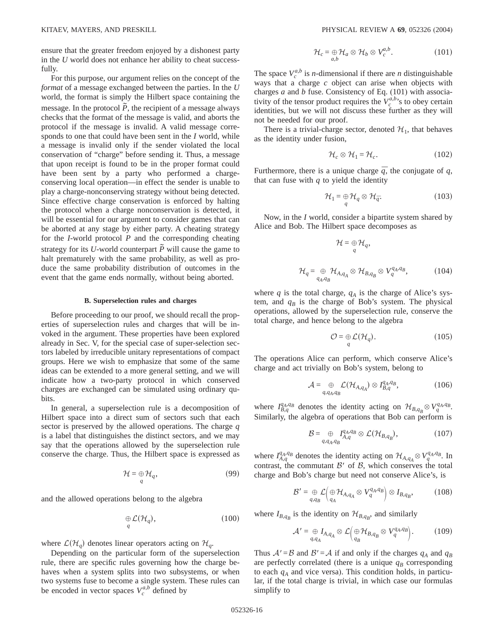ensure that the greater freedom enjoyed by a dishonest party in the *U* world does not enhance her ability to cheat successfully.

For this purpose, our argument relies on the concept of the *format* of a message exchanged between the parties. In the *U* world, the format is simply the Hilbert space containing the message. In the protocol  $\tilde{P}$ , the recipient of a message always checks that the format of the message is valid, and aborts the protocol if the message is invalid. A valid message corresponds to one that could have been sent in the *I* world, while a message is invalid only if the sender violated the local conservation of "charge" before sending it. Thus, a message that upon receipt is found to be in the proper format could have been sent by a party who performed a chargeconserving local operation—in effect the sender is unable to play a charge-nonconserving strategy without being detected. Since effective charge conservation is enforced by halting the protocol when a charge nonconservation is detected, it will be essential for our argument to consider games that can be aborted at any stage by either party. A cheating strategy for the *I*-world protocol *P* and the corresponding cheating strategy for its *U*-world counterpart  $\tilde{P}$  will cause the game to halt prematurely with the same probability, as well as produce the same probability distribution of outcomes in the event that the game ends normally, without being aborted.

## **B. Superselection rules and charges**

Before proceeding to our proof, we should recall the properties of superselection rules and charges that will be invoked in the argument. These properties have been explored already in Sec. V, for the special case of super-selection sectors labeled by irreducible unitary representations of compact groups. Here we wish to emphasize that some of the same ideas can be extended to a more general setting, and we will indicate how a two-party protocol in which conserved charges are exchanged can be simulated using ordinary qubits.

In general, a superselection rule is a decomposition of Hilbert space into a direct sum of sectors such that each sector is preserved by the allowed operations. The charge *q* is a label that distinguishes the distinct sectors, and we may say that the operations allowed by the superselection rule conserve the charge. Thus, the Hilbert space is expressed as

$$
\mathcal{H} = \bigoplus_{q} \mathcal{H}_q,\tag{99}
$$

and the allowed operations belong to the algebra

$$
\underset{q}{\oplus} \mathcal{L}(\mathcal{H}_q),\tag{100}
$$

where  $\mathcal{L}(\mathcal{H}_q)$  denotes linear operators acting on  $\mathcal{H}_q$ .

Depending on the particular form of the superselection rule, there are specific rules governing how the charge behaves when a system splits into two subsystems, or when two systems fuse to become a single system. These rules can be encoded in vector spaces  $V_c^{a,b}$  defined by

$$
\mathcal{H}_c = \underset{a,b}{\oplus} \mathcal{H}_a \otimes \mathcal{H}_b \otimes V_c^{a,b}.
$$
 (101)

The space  $V_c^{a,b}$  is *n*-dimensional if there are *n* distinguishable ways that a charge *c* object can arise when objects with charges *a* and *b* fuse. Consistency of Eq. (101) with associativity of the tensor product requires the  $V_c^{a,b}$ 's to obey certain identities, but we will not discuss these further as they will not be needed for our proof.

There is a trivial-charge sector, denoted  $\mathcal{H}_1$ , that behaves as the identity under fusion,

$$
\mathcal{H}_c \otimes \mathcal{H}_1 = \mathcal{H}_c. \tag{102}
$$

Furthermore, there is a unique charge  $\bar{q}$ , the conjugate of  $q$ , that can fuse with *q* to yield the identity

$$
\mathcal{H}_1 = \underset{q}{\oplus} \mathcal{H}_q \otimes \mathcal{H}_{\bar{q}}.\tag{103}
$$

Now, in the *I* world, consider a bipartite system shared by Alice and Bob. The Hilbert space decomposes as

$$
\mathcal{H} = \bigoplus_{q} \mathcal{H}_{q},
$$
  

$$
\mathcal{H}_{q} = \bigoplus_{q_{A},q_{B}} \mathcal{H}_{A,q_{A}} \otimes \mathcal{H}_{B,q_{B}} \otimes V_{q}^{q_{A},q_{B}},
$$
 (104)

where  $q$  is the total charge,  $q_A$  is the charge of Alice's system, and  $q_B$  is the charge of Bob's system. The physical operations, allowed by the superselection rule, conserve the total charge, and hence belong to the algebra

$$
\mathcal{O} = \underset{q}{\oplus} \mathcal{L}(\mathcal{H}_q). \tag{105}
$$

The operations Alice can perform, which conserve Alice's charge and act trivially on Bob's system, belong to

$$
\mathcal{A} = \bigoplus_{q,q_A,q_B} \mathcal{L}(\mathcal{H}_{A,q_A}) \otimes I_{B,q}^{q_A,q_B},\tag{106}
$$

where  $I_{B,q}^{q_A,q_B}$  denotes the identity acting on  $\mathcal{H}_{B,q_B} \otimes V_q^{q_A,q_B}$ . Similarly, the algebra of operations that Bob can perform is

$$
\mathcal{B} = \bigoplus_{q,q_A,q_B} I_{A,q}^{q_A,q_B} \otimes \mathcal{L}(\mathcal{H}_{B,q_B}), \tag{107}
$$

where  $I_{A,q}^{q_A,q_B}$  denotes the identity acting on  $\mathcal{H}_{A,q_A} \otimes V_q^{q_A,q_B}$ . In contrast, the commutant  $\mathcal{B}'$  of  $\mathcal{B}$ , which conserves the total charge and Bob's charge but need not conserve Alice's, is

$$
\mathcal{B}' = \bigoplus_{q,q_B} \mathcal{L}\left(\bigoplus_{q_A} \mathcal{H}_{A,q_A} \otimes V_q^{q_A,q_B}\right) \otimes I_{B,q_B},\tag{108}
$$

where  $I_{B,q_B}$  is the identity on  $\mathcal{H}_{B,q_B}$ , and similarly

$$
\mathcal{A}' = \bigoplus_{q,q_A} I_{A,q_A} \otimes \mathcal{L}\Big(\bigoplus_{q_B} \mathcal{H}_{B,q_B} \otimes V_q^{q_A,q_B}\Big). \tag{109}
$$

Thus  $A' = B$  and  $B' = A$  if and only if the charges  $q_A$  and  $q_B$ are perfectly correlated (there is a unique  $q_B$  corresponding to each  $q_A$  and vice versa). This condition holds, in particular, if the total charge is trivial, in which case our formulas simplify to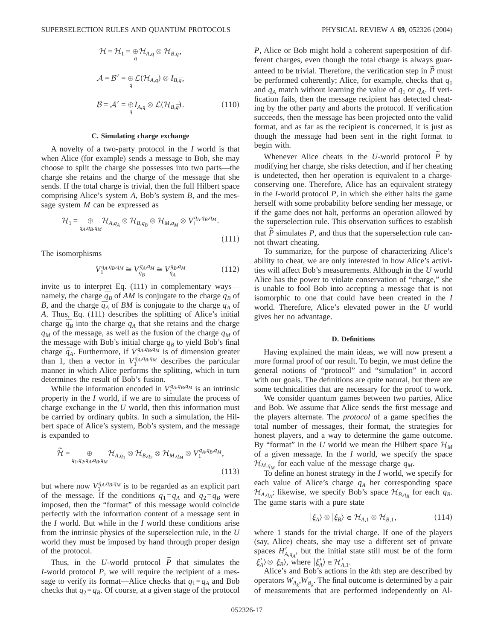$$
\mathcal{H} = \mathcal{H}_1 = \bigoplus_{q} \mathcal{H}_{A,q} \otimes \mathcal{H}_{B,\overline{q}},
$$
  

$$
\mathcal{A} = \mathcal{B}' = \bigoplus_{q} \mathcal{L}(\mathcal{H}_{A,q}) \otimes I_{B,\overline{q}},
$$
  

$$
\mathcal{B} = \mathcal{A}' = \bigoplus_{q} I_{A,q} \otimes \mathcal{L}(\mathcal{H}_{B,\overline{q}}).
$$
 (110)

#### **C. Simulating charge exchange**

A novelty of a two-party protocol in the *I* world is that when Alice (for example) sends a message to Bob, she may choose to split the charge she possesses into two parts—the charge she retains and the charge of the message that she sends. If the total charge is trivial, then the full Hilbert space comprising Alice's system *A*, Bob's system *B*, and the message system *M* can be expressed as

$$
\mathcal{H}_{1} = \bigoplus_{q_{A},q_{B},q_{M}} \mathcal{H}_{A,q_{A}} \otimes \mathcal{H}_{B,q_{B}} \otimes \mathcal{H}_{M,q_{M}} \otimes V_{1}^{q_{A},q_{B},q_{M}}.
$$
\n(111)

The isomorphisms

$$
V_1^{q_A,q_B,q_M} \cong V_{\overline{q}_B}^{q_A,q_M} \cong V_{\overline{q}_A}^{q_B,q_M} \tag{112}
$$

invite us to interpret Eq. (111) in complementary ways namely, the charge  $\bar{q}_B$  of *AM* is conjugate to the charge  $q_B$  of *B*, and the charge  $\bar{q}_A$  of *BM* is conjugate to the charge  $q_A$  of *BM* is conjugate to the charge  $q_A$  of *A*. Thus, Eq. (111) describes the splitting of Alice's initial charge  $\bar{q}_B$  into the charge  $q_A$  that she retains and the charge  $q_M$  of the message, as well as the fusion of the charge  $q_M$  of the message with Bob's initial charge  $q_B$  to yield Bob's final charge  $\bar{q}_A$ . Furthermore, if  $V_1^{q_A,q_B,q_M}$  is of dimension greater than 1, then a vector in  $V_1^{q_A,q_B,q_M}$  describes the particular manner in which Alice performs the splitting, which in turn determines the result of Bob's fusion.

While the information encoded in  $V_1^{q_A,q_B,q_M}$  is an intrinsic property in the *I* world, if we are to simulate the process of charge exchange in the *U* world, then this information must be carried by ordinary qubits. In such a simulation, the Hilbert space of Alice's system, Bob's system, and the message is expanded to

$$
\widetilde{\mathcal{H}} = \bigoplus_{q_1, q_2, q_A, q_B, q_M} \mathcal{H}_{A, q_1} \otimes \mathcal{H}_{B, q_2} \otimes \mathcal{H}_{M, q_M} \otimes V_1^{q_A, q_B, q_M},
$$
\n(113)

but where now  $V_1^{q_A,q_B,q_M}$  is to be regarded as an explicit part of the message. If the conditions  $q_1 = q_A$  and  $q_2 = q_B$  were imposed, then the "format" of this message would coincide perfectly with the information content of a message sent in the *I* world. But while in the *I* world these conditions arise from the intrinsic physics of the superselection rule, in the *U* world they must be imposed by hand through proper design of the protocol.

Thus, in the *U*-world protocol  $\tilde{P}$  that simulates the *I*-world protocol *P*, we will require the recipient of a message to verify its format—Alice checks that  $q_1 = q_A$  and Bob checks that  $q_2 = q_B$ . Of course, at a given stage of the protocol *P*, Alice or Bob might hold a coherent superposition of different charges, even though the total charge is always guaranteed to be trivial. Therefore, the verification step in  $\tilde{P}$  must be performed coherently; Alice, for example, checks that *q*<sup>1</sup> and  $q_A$  match without learning the value of  $q_1$  or  $q_A$ . If verification fails, then the message recipient has detected cheating by the other party and aborts the protocol. If verification succeeds, then the message has been projected onto the valid format, and as far as the recipient is concerned, it is just as though the message had been sent in the right format to begin with.

Whenever Alice cheats in the *U*-world protocol  $\tilde{P}$  by modifying her charge, she risks detection, and if her cheating is undetected, then her operation is equivalent to a chargeconserving one. Therefore, Alice has an equivalent strategy in the *I*-world protocol *P*, in which she either halts the game herself with some probability before sending her message, or if the game does not halt, performs an operation allowed by the superselection rule. This observation suffices to establish that  $\tilde{P}$  simulates  $P$ , and thus that the superselection rule cannot thwart cheating.

To summarize, for the purpose of characterizing Alice's ability to cheat, we are only interested in how Alice's activities will affect Bob's measurements. Although in the *U* world Alice has the power to violate conservation of "charge," she is unable to fool Bob into accepting a message that is not isomorphic to one that could have been created in the *I* world. Therefore, Alice's elevated power in the *U* world gives her no advantage.

#### **D. Definitions**

Having explained the main ideas, we will now present a more formal proof of our result. To begin, we must define the general notions of "protocol" and "simulation" in accord with our goals. The definitions are quite natural, but there are some technicalities that are necessary for the proof to work.

We consider quantum games between two parties, Alice and Bob. We assume that Alice sends the first message and the players alternate. The *protocol* of a game specifies the total number of messages, their format, the strategies for honest players, and a way to determine the game outcome. By "format" in the *U* world we mean the Hilbert space  $\mathcal{H}_M$ of a given message. In the *I* world, we specify the space  $\mathcal{H}_{M,q_M}$  for each value of the message charge  $q_M$ .

To define an honest strategy in the *I* world, we specify for each value of Alice's charge  $q_A$  her corresponding space  $\mathcal{H}_{A,q_A}$ ; likewise, we specify Bob's space  $\mathcal{H}_{B,q_B}$  for each  $q_B$ . The game starts with a pure state

$$
|\xi_A\rangle \otimes |\xi_B\rangle \in \mathcal{H}_{A,1} \otimes \mathcal{H}_{B,1},\tag{114}
$$

where 1 stands for the trivial charge. If one of the players (say, Alice) cheats, she may use a different set of private spaces  $H'_{A,q_A}$ , but the initial state still must be of the form  $|\xi'_A\rangle \otimes |\xi_B\rangle$ , where  $|\xi'_A\rangle \in \mathcal{H}'_{A,1}$ .

Alice's and Bob's actions in the *k*th step are described by operators  $W_{A_k}, W_{B_k}$ . The final outcome is determined by a pair of measurements that are performed independently on Al-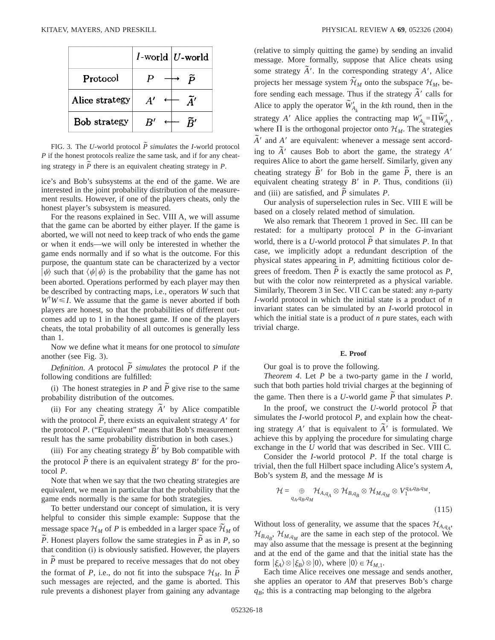|                     | $I$ -world $ U$ -world |
|---------------------|------------------------|
| Protocol            |                        |
| Alice strategy      |                        |
| <b>Bob strategy</b> |                        |

FIG. 3. The *U*-world protocol  $\tilde{P}$  *simulates* the *I*-world protocol *P* if the honest protocols realize the same task, and if for any cheat- $\overline{P}$  there is an equivalent cheating strategy in *P*.

ice's and Bob's subsystems at the end of the game. We are interested in the joint probability distribution of the measurement results. However, if one of the players cheats, only the honest player's subsystem is measured.

For the reasons explained in Sec. VIII A, we will assume that the game can be aborted by either player. If the game is aborted, we will not need to keep track of who ends the game or when it ends—we will only be interested in whether the game ends normally and if so what is the outcome. For this purpose, the quantum state can be characterized by a vector  $|\psi\rangle$  such that  $\langle \psi | \psi \rangle$  is the probability that the game has not been aborted. Operations performed by each player may then be described by contracting maps, i.e., operators *W* such that  $W^{\dagger}W \leq I$ . We assume that the game is never aborted if both players are honest, so that the probabilities of different outcomes add up to 1 in the honest game. If one of the players cheats, the total probability of all outcomes is generally less than 1.

Now we define what it means for one protocol to *simulate* another (see Fig. 3).

*Definition. A* protocol  $\tilde{P}$  *simulates* the protocol *P* if the following conditions are fulfilled:

(i) The honest strategies in *P* and  $\tilde{P}$  give rise to the same probability distribution of the outcomes.

(ii) For any cheating strategy  $\tilde{A}'$  by Alice compatible with the protocol  $\tilde{P}$ , there exists an equivalent strategy *A'* for the protocol *P*. ("Equivalent" means that Bob's measurement result has the same probability distribution in both cases.)

(iii) For any cheating strategy  $\tilde{B}'$  by Bob compatible with the protocol  $\tilde{P}$  there is an equivalent strategy  $B'$  for the protocol *P*.

Note that when we say that the two cheating strategies are equivalent, we mean in particular that the probability that the game ends normally is the same for both strategies.

To better understand our concept of simulation, it is very helpful to consider this simple example: Suppose that the message space  $\mathcal{H}_M$  of *P* is embedded in a larger space  $\widetilde{\mathcal{H}}_M$  of *P*. Honest players follow the same strategies in  $\tilde{P}$  as in *P*, so that condition (i) is obviously satisfied. However, the players in  $\tilde{P}$  must be prepared to receive messages that do not obey the format of *P*, i.e., do not fit into the subspace  $\mathcal{H}_M$ . In  $\tilde{P}$ such messages are rejected, and the game is aborted. This rule prevents a dishonest player from gaining any advantage (relative to simply quitting the game) by sending an invalid message. More formally, suppose that Alice cheats using some strategy  $\tilde{A}'$ . In the corresponding strategy  $A'$ , Alice projects her message system  $\tilde{\mathcal{H}}_M$  onto the subspace  $\mathcal{H}_M$ , before sending each message. Thus if the strategy  $\tilde{A}'$  calls for Alice to apply the operator  $\widetilde{W}_{A_k}^{\prime}$  in the *k*th round, then in the strategy *A'* Alice applies the contracting map  $W'_{A_k} = \Pi \widetilde{W}'_{A_k}$ , where  $\Pi$  is the orthogonal projector onto  $\mathcal{H}_M$ . The strategies  $\tilde{A}$ <sup>t</sup> and *A*<sup>t</sup> are equivalent: whenever a message sent according to  $\tilde{A}$ <sup> $i$ </sup> causes Bob to abort the game, the strategy  $A$ <sup>8</sup> requires Alice to abort the game herself. Similarly, given any cheating strategy  $\tilde{B}'$  for Bob in the game  $\tilde{P}$ , there is an equivalent cheating strategy  $B'$  in  $P$ . Thus, conditions (ii) and (iii) are satisfied, and  $\tilde{P}$  simulates *P*.

Our analysis of superselection rules in Sec. VIII E will be based on a closely related method of simulation.

We also remark that Theorem 1 proved in Sec. III can be restated: for a multiparty protocol *P* in the *G*-invariant world, there is a *U*-world protocol  $\tilde{P}$  that simulates *P*. In that case, we implicitly adopt a redundant description of the physical states appearing in *P*, admitting fictitious color degrees of freedom. Then  $\tilde{P}$  is exactly the same protocol as  $P$ , but with the color now reinterpreted as a physical variable. Similarly, Theorem 3 in Sec. VII C can be stated: any *n*-party *I*-world protocol in which the initial state is a product of *n* invariant states can be simulated by an *I*-world protocol in which the initial state is a product of *n* pure states, each with trivial charge.

#### **E. Proof**

Our goal is to prove the following.

*Theorem 4*. Let *P* be a two-party game in the *I* world, such that both parties hold trivial charges at the beginning of the game. Then there is a *U*-world game  $\tilde{P}$  that simulates *P*.

In the proof, we construct the *U*-world protocol  $\tilde{P}$  that simulates the *I*-world protocol *P*, and explain how the cheating strategy *A'* that is equivalent to  $\tilde{A}$ ' is formulated. We achieve this by applying the procedure for simulating charge exchange in the *U* world that was described in Sec. VIII C.

Consider the *I*-world protocol *P*. If the total charge is trivial, then the full Hilbert space including Alice's system *A*, Bob's system *B*, and the message *M* is

$$
\mathcal{H} = \bigoplus_{q_A, q_B, q_M} \mathcal{H}_{A, q_A} \otimes \mathcal{H}_{B, q_B} \otimes \mathcal{H}_{M, q_M} \otimes V_1^{q_A, q_B, q_M}.
$$
\n(115)

Without loss of generality, we assume that the spaces  $\mathcal{H}_{A,q_A}$ ,  $\mathcal{H}_{B,q_B}$ ,  $\mathcal{H}_{M,q_M}$  are the same in each step of the protocol. We may also assume that the message is present at the beginning and at the end of the game and that the initial state has the form  $|\xi_A\rangle \otimes |\xi_B\rangle \otimes |0\rangle$ , where  $|0\rangle \in \mathcal{H}_{M,1}$ .

Each time Alice receives one message and sends another, she applies an operator to *AM* that preserves Bob's charge  $q_B$ ; this is a contracting map belonging to the algebra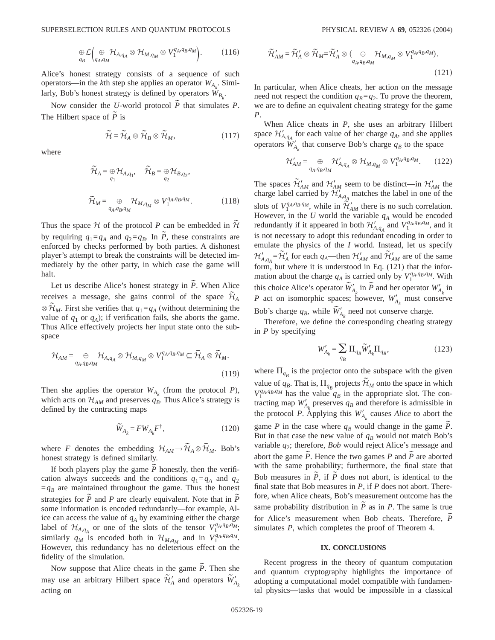SUPERSELECTION RULES AND QUANTUM PROTOCOLS PHYSICAL REVIEW A **69**, 052326 (2004)

$$
\underset{q_B}{\oplus} \mathcal{L}\left(\underset{q_A,q_M}{\oplus} \mathcal{H}_{A,q_A} \otimes \mathcal{H}_{M,q_M} \otimes V_1^{q_A,q_B,q_M}\right). \tag{116}
$$

Alice's honest strategy consists of a sequence of such operators—in the *k*th step she applies an operator  $W_{A_k}$ . Similarly, Bob's honest strategy is defined by operators  $W_{B_k}$ .

Now consider the *U*-world protocol  $\tilde{P}$  that simulates *P*. The Hilbert space of  $\tilde{P}$  is

$$
\widetilde{\mathcal{H}} = \widetilde{\mathcal{H}}_A \otimes \widetilde{\mathcal{H}}_B \otimes \widetilde{\mathcal{H}}_M, \tag{117}
$$

where

$$
\widetilde{\mathcal{H}}_{A} = \bigoplus_{q_1} \mathcal{H}_{A,q_1}, \quad \widetilde{\mathcal{H}}_{B} = \bigoplus_{q_2} \mathcal{H}_{B,q_2},
$$
\n
$$
\widetilde{\mathcal{H}}_{M} = \bigoplus_{q_A,q_B,q_M} \mathcal{H}_{M,q_M} \otimes V_1^{q_A,q_B,q_M}.
$$
\n(118)

Thus the space  $H$  of the protocol *P* can be embedded in  $\tilde{H}$ by requiring  $q_1 = q_A$  and  $q_2 = q_B$ . In  $\tilde{P}$ , these constraints are enforced by checks performed by both parties. A dishonest player's attempt to break the constraints will be detected immediately by the other party, in which case the game will halt.

Let us describe Alice's honest strategy in *P ˜*. When Alice receives a message, she gains control of the space  $\widetilde{\mathcal{H}}_A$  $\otimes$   $\tilde{\mathcal{H}}_M$ . First she verifies that  $q_1 = q_A$  (without determining the value of  $q_1$  or  $q_A$ ); if verification fails, she aborts the game. Thus Alice effectively projects her input state onto the subspace

$$
\mathcal{H}_{AM} = \bigoplus_{q_A, q_B, q_M} \mathcal{H}_{A, q_A} \otimes \mathcal{H}_{M, q_M} \otimes V_1^{q_A, q_B, q_M} \subseteq \widetilde{\mathcal{H}}_A \otimes \widetilde{\mathcal{H}}_M.
$$
\n(119)

Then she applies the operator  $W_{A_k}$  (from the protocol *P*), which acts on  $\mathcal{H}_{AM}$  and preserves  $q_B$ . Thus Alice's strategy is defined by the contracting maps

$$
\widetilde{V}_{A_k} = F W_{A_k} F^{\dagger}, \qquad (120)
$$

where *F* denotes the embedding  $\mathcal{H}_{AM} \rightarrow \tilde{\mathcal{H}}_A \otimes \tilde{\mathcal{H}}_M$ . Bob's honest strategy is defined similarly.

 $\mathbf{V}$ 

If both players play the game  $\tilde{P}$  honestly, then the verification always succeeds and the conditions  $q_1 = q_A$  and  $q_2$  $=q_B$  are maintained throughout the game. Thus the honest strategies for  $\tilde{P}$  and *P* are clearly equivalent. Note that in  $\tilde{P}$ some information is encoded redundantly—for example, Alice can access the value of  $q_A$  by examining either the charge label of  $\mathcal{H}_{A,q_A}$  or one of the slots of the tensor  $V_1^{q_A,q_B,q_M}$ ; similarly  $q_M$  is encoded both in  $\mathcal{H}_{M,q_M}$  and in  $V_1^{q_A,q_B,q_M}$ . However, this redundancy has no deleterious effect on the fidelity of the simulation.

Now suppose that Alice cheats in the game  $\tilde{P}$ . Then she may use an arbitrary Hilbert space  $\widetilde{\mathcal{H}}'_{A}$  and operators  $\widetilde{W}'_{A_{k}}$ acting on

$$
\widetilde{\mathcal{H}}'_{AM} = \widetilde{\mathcal{H}}'_{A} \otimes \widetilde{\mathcal{H}}_{M} = \widetilde{\mathcal{H}}'_{A} \otimes (\bigoplus_{q_{A}, q_{B}, q_{M}} \mathcal{H}_{M, q_{M}} \otimes V_{1}^{q_{A}, q_{B}, q_{M}}).
$$
\n(121)

In particular, when Alice cheats, her action on the message need not respect the condition  $q_B = q_2$ . To prove the theorem, we are to define an equivalent cheating strategy for the game *P*.

When Alice cheats in *P*, she uses an arbitrary Hilbert space  $\mathcal{H}_{A,q}$  for each value of her charge  $q_A$ , and she applies operators  $\hat{W}_{A_k}$  that conserve Bob's charge  $q_B$  to the space

$$
\mathcal{H}'_{AM} = \underset{q_A, q_B, q_M}{\oplus} \mathcal{H}'_{A, q_A} \otimes \mathcal{H}_{M, q_M} \otimes V_1^{q_A, q_B, q_M}.
$$
 (122)

The spaces  $\widetilde{\mathcal{H}}'_{AM}$  and  $\mathcal{H}'_{AM}$  seem to be distinct—in  $\mathcal{H}'_{AM}$  the charge label carried by  $\mathcal{H}_{A,q_A}$  matches the label in one of the slots of  $V_1^{q_A, q_B, q_M}$ , while in  $\widetilde{\mathcal{H}}'_{AM}$  there is no such correlation. However, in the  $U$  world the variable  $q_A$  would be encoded redundantly if it appeared in both  $\mathcal{H}'_{A,q_A}$  and  $V_1^{q_A,q_B,q_M}$ , and it is not necessary to adopt this redundant encoding in order to emulate the physics of the *I* world. Instead, let us specify  $\mathcal{H}'_{A,q_A} = \tilde{\mathcal{H}}'_A$  for each  $q_A$ —then  $\mathcal{H}'_{AM}$  and  $\tilde{\mathcal{H}}'_{AM}$  are of the same form, but where it is understood in Eq. (121) that the information about the charge  $q_A$  is carried only by  $V_1^{q_A,q_B,q_M}$ . With this choice Alice's operator  $\tilde{W}'_{A_k}$  in  $\tilde{P}$  and her operator  $W'_{A_k}$  in *P* act on isomorphic spaces; however,  $W'_{A_k}$  must conserve Bob's charge  $q_B$ , while  $\widetilde{W}_{A_k}$  need not conserve charge.

Therefore, we define the corresponding cheating strategy in *P* by specifying

$$
W'_{A_k} = \sum_{q_B} \Pi_{q_B} \tilde{W}'_{A_k} \Pi_{q_B},
$$
\n(123)

where  $\Pi_{q_p}$  is the projector onto the subspace with the given value of  $q_B$ . That is,  $\Pi_{q_B}$  projects  $\tilde{\mathcal{H}}_M$  onto the space in which  $V_1^{q_A,q_B,q_M}$  has the value  $q_B$  in the appropriate slot. The contracting map  $W'_{A_k}$  preserves  $q_B$  and therefore is admissible in the protocol *P*. Applying this  $W'_{A_k}$  causes *Alice* to abort the game *P* in the case where  $q_B$  would change in the game  $\tilde{P}$ . But in that case the new value of  $q_B$  would not match Bob's variable *q*2; therefore, *Bob* would reject Alice's message and abort the game  $\tilde{P}$ . Hence the two games *P* and  $\tilde{P}$  are aborted with the same probability; furthermore, the final state that Bob measures in  $\tilde{P}$ , if  $\tilde{P}$  does not abort, is identical to the final state that Bob measures in *P*, if *P* does not abort. Therefore, when Alice cheats, Bob's measurement outcome has the same probability distribution in  $\tilde{P}$  as in *P*. The same is true for Alice's measurement when Bob cheats. Therefore,  $\tilde{P}$ simulates *P*, which completes the proof of Theorem 4.

#### **IX. CONCLUSIONS**

Recent progress in the theory of quantum computation and quantum cryptography highlights the importance of adopting a computational model compatible with fundamental physics—tasks that would be impossible in a classical